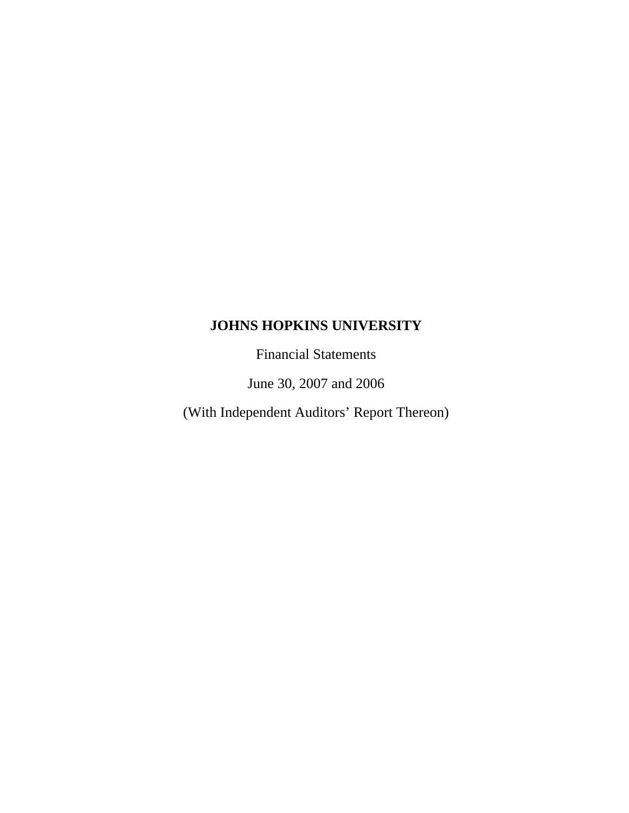Financial Statements

June 30, 2007 and 2006

(With Independent Auditors' Report Thereon)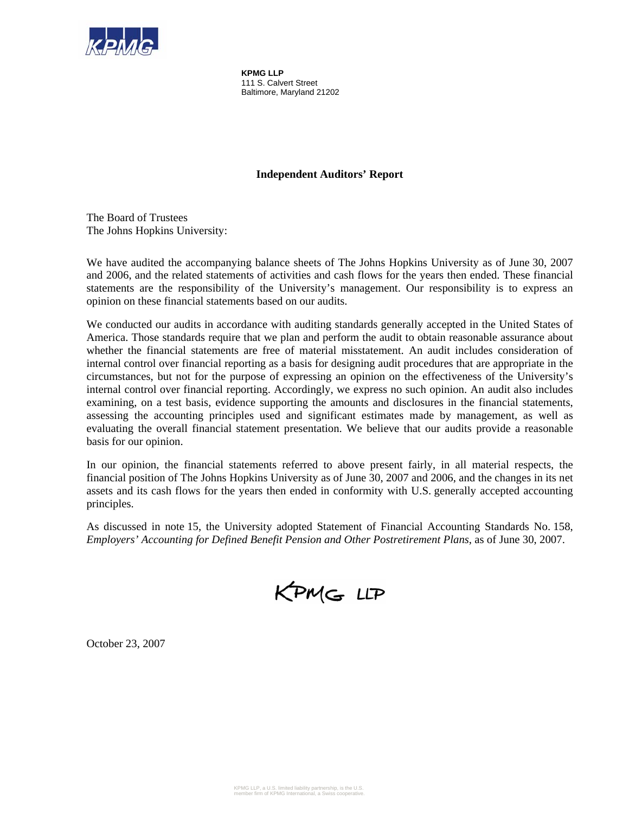

**KPMG LLP**  111 S. Calvert Street Baltimore, Maryland 21202

# **Independent Auditors' Report**

The Board of Trustees The Johns Hopkins University:

We have audited the accompanying balance sheets of The Johns Hopkins University as of June 30, 2007 and 2006, and the related statements of activities and cash flows for the years then ended. These financial statements are the responsibility of the University's management. Our responsibility is to express an opinion on these financial statements based on our audits.

We conducted our audits in accordance with auditing standards generally accepted in the United States of America. Those standards require that we plan and perform the audit to obtain reasonable assurance about whether the financial statements are free of material misstatement. An audit includes consideration of internal control over financial reporting as a basis for designing audit procedures that are appropriate in the circumstances, but not for the purpose of expressing an opinion on the effectiveness of the University's internal control over financial reporting. Accordingly, we express no such opinion. An audit also includes examining, on a test basis, evidence supporting the amounts and disclosures in the financial statements, assessing the accounting principles used and significant estimates made by management, as well as evaluating the overall financial statement presentation. We believe that our audits provide a reasonable basis for our opinion.

In our opinion, the financial statements referred to above present fairly, in all material respects, the financial position of The Johns Hopkins University as of June 30, 2007 and 2006, and the changes in its net assets and its cash flows for the years then ended in conformity with U.S. generally accepted accounting principles.

As discussed in note 15, the University adopted Statement of Financial Accounting Standards No. 158, *Employers' Accounting for Defined Benefit Pension and Other Postretirement Plans*, as of June 30, 2007.



October 23, 2007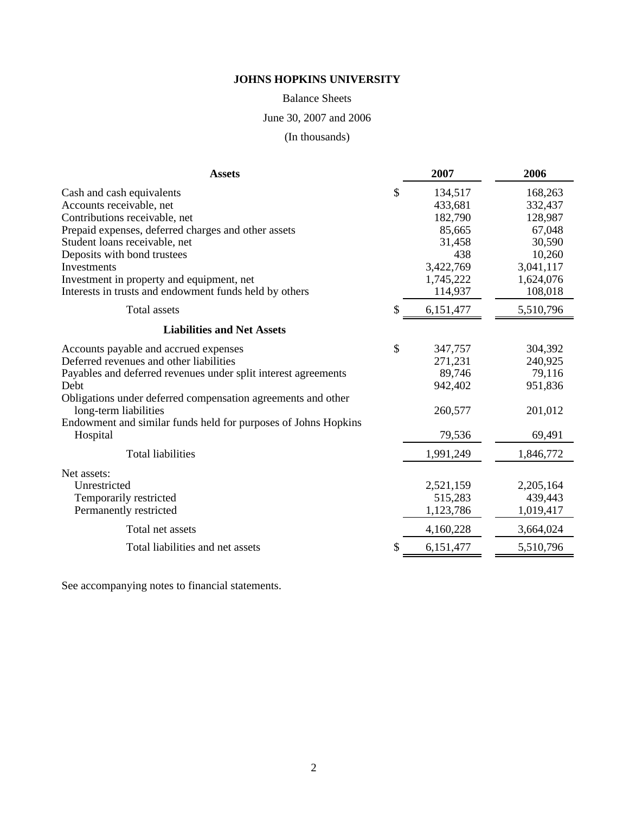Balance Sheets

June 30, 2007 and 2006

(In thousands)

| <b>Assets</b>                                                                                                                                                                                                                                                                                                                       | 2007                                                                                                | 2006                                                                                             |
|-------------------------------------------------------------------------------------------------------------------------------------------------------------------------------------------------------------------------------------------------------------------------------------------------------------------------------------|-----------------------------------------------------------------------------------------------------|--------------------------------------------------------------------------------------------------|
| Cash and cash equivalents<br>Accounts receivable, net<br>Contributions receivable, net<br>Prepaid expenses, deferred charges and other assets<br>Student loans receivable, net<br>Deposits with bond trustees<br>Investments<br>Investment in property and equipment, net<br>Interests in trusts and endowment funds held by others | \$<br>134,517<br>433,681<br>182,790<br>85,665<br>31,458<br>438<br>3,422,769<br>1,745,222<br>114,937 | 168,263<br>332,437<br>128,987<br>67,048<br>30,590<br>10,260<br>3,041,117<br>1,624,076<br>108,018 |
| Total assets                                                                                                                                                                                                                                                                                                                        | \$<br>6,151,477                                                                                     | 5,510,796                                                                                        |
| <b>Liabilities and Net Assets</b>                                                                                                                                                                                                                                                                                                   |                                                                                                     |                                                                                                  |
| Accounts payable and accrued expenses<br>Deferred revenues and other liabilities<br>Payables and deferred revenues under split interest agreements<br>Debt<br>Obligations under deferred compensation agreements and other<br>long-term liabilities<br>Endowment and similar funds held for purposes of Johns Hopkins<br>Hospital   | \$<br>347,757<br>271,231<br>89,746<br>942,402<br>260,577<br>79,536                                  | 304,392<br>240,925<br>79,116<br>951,836<br>201,012<br>69,491                                     |
| <b>Total liabilities</b>                                                                                                                                                                                                                                                                                                            | 1,991,249                                                                                           | 1,846,772                                                                                        |
| Net assets:<br>Unrestricted<br>Temporarily restricted<br>Permanently restricted                                                                                                                                                                                                                                                     | 2,521,159<br>515,283<br>1,123,786                                                                   | 2,205,164<br>439,443<br>1,019,417                                                                |
| Total net assets                                                                                                                                                                                                                                                                                                                    | 4,160,228                                                                                           | 3,664,024                                                                                        |
| Total liabilities and net assets                                                                                                                                                                                                                                                                                                    | \$<br>6,151,477                                                                                     | 5,510,796                                                                                        |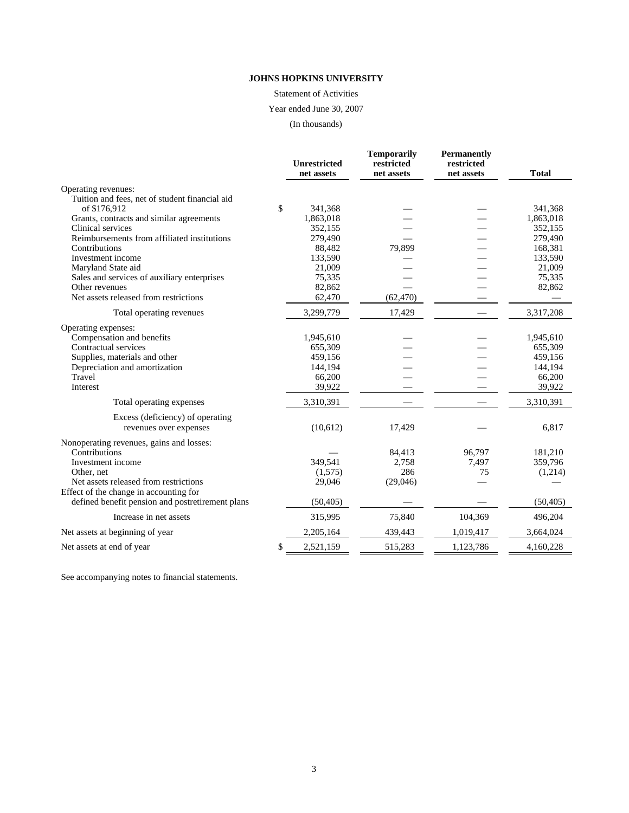Statement of Activities

Year ended June 30, 2007

(In thousands)

|                                                  | <b>Unrestricted</b><br>net assets | <b>Temporarily</b><br>restricted<br>net assets | <b>Permanently</b><br>restricted<br>net assets | <b>Total</b> |
|--------------------------------------------------|-----------------------------------|------------------------------------------------|------------------------------------------------|--------------|
| Operating revenues:                              |                                   |                                                |                                                |              |
| Tuition and fees, net of student financial aid   |                                   |                                                |                                                |              |
| of \$176,912                                     | \$<br>341,368                     |                                                |                                                | 341,368      |
| Grants, contracts and similar agreements         | 1,863,018                         |                                                |                                                | 1,863,018    |
| Clinical services                                | 352,155                           |                                                |                                                | 352,155      |
| Reimbursements from affiliated institutions      | 279,490                           |                                                |                                                | 279,490      |
| Contributions                                    | 88,482                            | 79,899                                         |                                                | 168,381      |
| Investment income                                | 133,590                           |                                                |                                                | 133,590      |
| Maryland State aid                               | 21,009                            |                                                |                                                | 21,009       |
| Sales and services of auxiliary enterprises      | 75,335                            |                                                |                                                | 75,335       |
| Other revenues                                   | 82,862                            |                                                |                                                | 82,862       |
| Net assets released from restrictions            | 62,470                            | (62, 470)                                      |                                                |              |
| Total operating revenues                         | 3,299,779                         | 17,429                                         |                                                | 3,317,208    |
| Operating expenses:                              |                                   |                                                |                                                |              |
| Compensation and benefits                        | 1,945,610                         |                                                |                                                | 1,945,610    |
| Contractual services                             | 655,309                           |                                                |                                                | 655,309      |
| Supplies, materials and other                    | 459,156                           |                                                |                                                | 459,156      |
| Depreciation and amortization                    | 144,194                           |                                                |                                                | 144,194      |
| Travel                                           | 66,200                            |                                                |                                                | 66,200       |
| Interest                                         | 39,922                            |                                                |                                                | 39,922       |
| Total operating expenses                         | 3,310,391                         |                                                |                                                | 3,310,391    |
| Excess (deficiency) of operating                 |                                   |                                                |                                                |              |
| revenues over expenses                           | (10,612)                          | 17,429                                         |                                                | 6,817        |
| Nonoperating revenues, gains and losses:         |                                   |                                                |                                                |              |
| Contributions                                    |                                   | 84,413                                         | 96,797                                         | 181,210      |
| Investment income                                | 349,541                           | 2,758                                          | 7,497                                          | 359,796      |
| Other, net                                       | (1,575)                           | 286                                            | 75                                             | (1,214)      |
| Net assets released from restrictions            | 29,046                            | (29,046)                                       |                                                |              |
| Effect of the change in accounting for           |                                   |                                                |                                                |              |
| defined benefit pension and postretirement plans | (50, 405)                         |                                                |                                                | (50, 405)    |
| Increase in net assets                           | 315,995                           | 75,840                                         | 104,369                                        | 496,204      |
| Net assets at beginning of year                  | 2,205,164                         | 439,443                                        | 1,019,417                                      | 3,664,024    |
| Net assets at end of year                        | \$<br>2,521,159                   | 515.283                                        | 1.123.786                                      | 4,160,228    |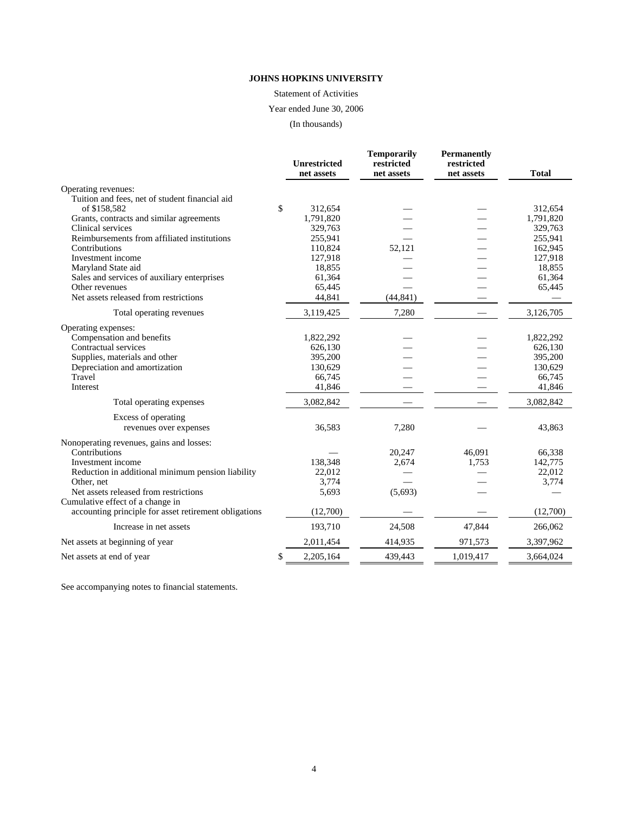Statement of Activities

Year ended June 30, 2006

(In thousands)

|                                                       | <b>Unrestricted</b> | <b>Temporarily</b><br>restricted | <b>Permanently</b><br>restricted |              |
|-------------------------------------------------------|---------------------|----------------------------------|----------------------------------|--------------|
|                                                       | net assets          | net assets                       | net assets                       | <b>Total</b> |
| Operating revenues:                                   |                     |                                  |                                  |              |
| Tuition and fees, net of student financial aid        |                     |                                  |                                  |              |
| of \$158,582                                          | \$<br>312,654       |                                  |                                  | 312,654      |
| Grants, contracts and similar agreements              | 1,791,820           |                                  |                                  | 1,791,820    |
| Clinical services                                     | 329,763             |                                  |                                  | 329,763      |
| Reimbursements from affiliated institutions           | 255,941             |                                  |                                  | 255,941      |
| Contributions                                         | 110,824             | 52,121                           |                                  | 162,945      |
| Investment income                                     | 127,918             |                                  |                                  | 127,918      |
| Maryland State aid                                    | 18,855              |                                  |                                  | 18,855       |
| Sales and services of auxiliary enterprises           | 61,364              |                                  |                                  | 61,364       |
| Other revenues                                        | 65,445              |                                  |                                  | 65,445       |
| Net assets released from restrictions                 | 44,841              | (44, 841)                        |                                  |              |
| Total operating revenues                              | 3,119,425           | 7,280                            |                                  | 3,126,705    |
| Operating expenses:                                   |                     |                                  |                                  |              |
| Compensation and benefits                             | 1,822,292           |                                  |                                  | 1,822,292    |
| Contractual services                                  | 626,130             |                                  |                                  | 626,130      |
| Supplies, materials and other                         | 395,200             |                                  |                                  | 395,200      |
| Depreciation and amortization                         | 130,629             |                                  |                                  | 130,629      |
| Travel                                                | 66,745              |                                  |                                  | 66,745       |
| Interest                                              | 41,846              |                                  |                                  | 41,846       |
| Total operating expenses                              | 3,082,842           |                                  |                                  | 3,082,842    |
| Excess of operating                                   |                     |                                  |                                  |              |
| revenues over expenses                                | 36,583              | 7,280                            |                                  | 43,863       |
| Nonoperating revenues, gains and losses:              |                     |                                  |                                  |              |
| Contributions                                         |                     | 20,247                           | 46,091                           | 66,338       |
| Investment income                                     | 138,348             | 2,674                            | 1,753                            | 142,775      |
| Reduction in additional minimum pension liability     | 22,012              |                                  |                                  | 22,012       |
| Other, net                                            | 3,774               |                                  |                                  | 3,774        |
| Net assets released from restrictions                 | 5,693               | (5,693)                          |                                  |              |
| Cumulative effect of a change in                      |                     |                                  |                                  |              |
| accounting principle for asset retirement obligations | (12,700)            |                                  |                                  | (12,700)     |
| Increase in net assets                                | 193,710             | 24,508                           | 47,844                           | 266,062      |
| Net assets at beginning of year                       | 2,011,454           | 414,935                          | 971,573                          | 3,397,962    |
| Net assets at end of year                             | \$<br>2,205,164     | 439,443                          | 1,019,417                        | 3,664,024    |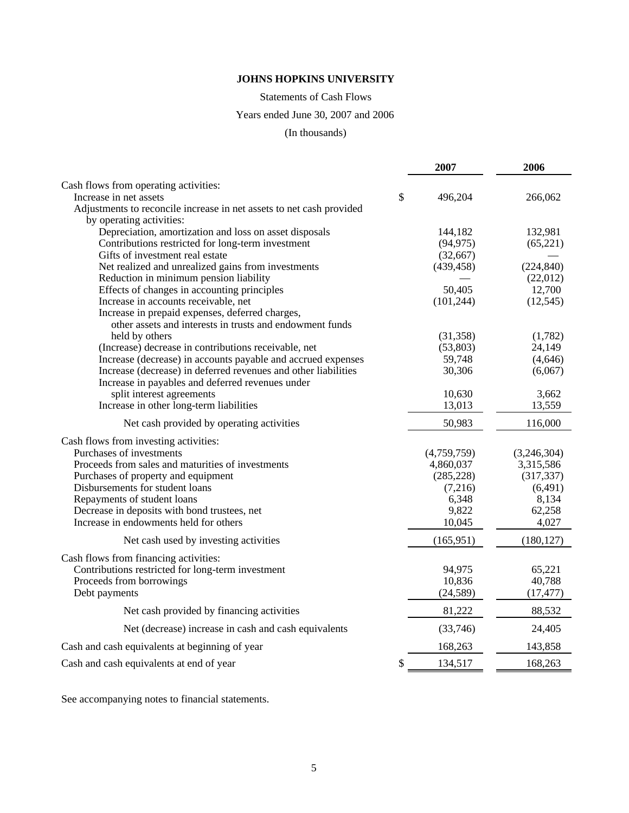Statements of Cash Flows

# Years ended June 30, 2007 and 2006

# (In thousands)

|                                                                      | 2007          | 2006        |
|----------------------------------------------------------------------|---------------|-------------|
| Cash flows from operating activities:                                |               |             |
| Increase in net assets                                               | \$<br>496,204 | 266,062     |
| Adjustments to reconcile increase in net assets to net cash provided |               |             |
| by operating activities:                                             |               |             |
| Depreciation, amortization and loss on asset disposals               | 144,182       | 132,981     |
| Contributions restricted for long-term investment                    | (94, 975)     | (65, 221)   |
| Gifts of investment real estate                                      | (32,667)      |             |
| Net realized and unrealized gains from investments                   | (439, 458)    | (224, 840)  |
| Reduction in minimum pension liability                               |               | (22,012)    |
| Effects of changes in accounting principles                          | 50,405        | 12,700      |
| Increase in accounts receivable, net                                 | (101, 244)    | (12, 545)   |
| Increase in prepaid expenses, deferred charges,                      |               |             |
| other assets and interests in trusts and endowment funds             |               |             |
| held by others                                                       | (31, 358)     | (1,782)     |
| (Increase) decrease in contributions receivable, net                 | (53,803)      | 24,149      |
| Increase (decrease) in accounts payable and accrued expenses         | 59,748        | (4,646)     |
| Increase (decrease) in deferred revenues and other liabilities       | 30,306        | (6,067)     |
| Increase in payables and deferred revenues under                     |               |             |
| split interest agreements                                            | 10,630        | 3,662       |
| Increase in other long-term liabilities                              | 13,013        | 13,559      |
| Net cash provided by operating activities                            | 50,983        | 116,000     |
| Cash flows from investing activities:                                |               |             |
| Purchases of investments                                             | (4,759,759)   | (3,246,304) |
| Proceeds from sales and maturities of investments                    | 4,860,037     | 3,315,586   |
| Purchases of property and equipment                                  | (285, 228)    | (317, 337)  |
| Disbursements for student loans                                      | (7,216)       | (6, 491)    |
| Repayments of student loans                                          | 6,348         | 8,134       |
| Decrease in deposits with bond trustees, net                         | 9,822         | 62,258      |
| Increase in endowments held for others                               | 10,045        | 4,027       |
| Net cash used by investing activities                                | (165, 951)    | (180, 127)  |
| Cash flows from financing activities:                                |               |             |
| Contributions restricted for long-term investment                    | 94,975        | 65,221      |
| Proceeds from borrowings                                             | 10,836        | 40,788      |
| Debt payments                                                        | (24, 589)     | (17, 477)   |
| Net cash provided by financing activities                            | 81,222        | 88,532      |
| Net (decrease) increase in cash and cash equivalents                 | (33,746)      | 24,405      |
| Cash and cash equivalents at beginning of year                       | 168,263       | 143,858     |
| Cash and cash equivalents at end of year                             | \$<br>134,517 | 168,263     |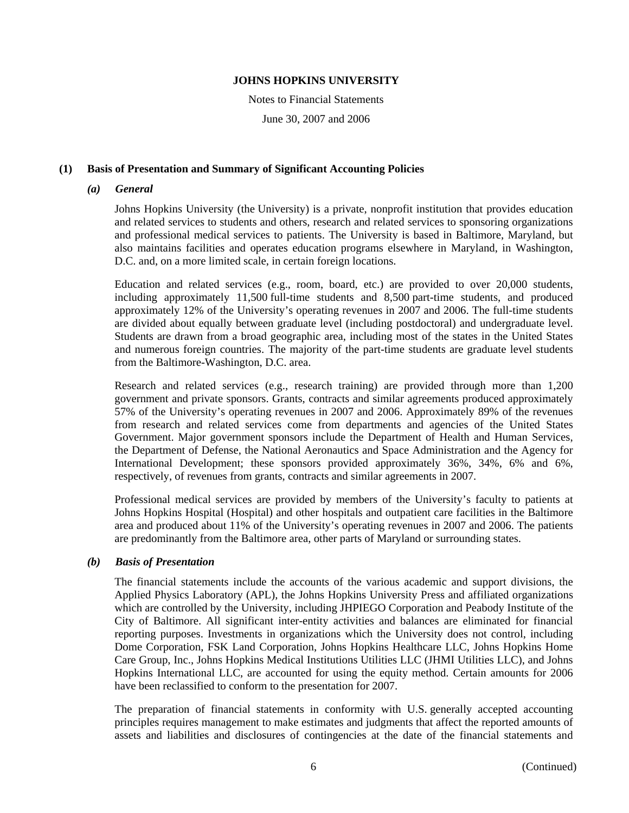Notes to Financial Statements June 30, 2007 and 2006

# **(1) Basis of Presentation and Summary of Significant Accounting Policies**

### *(a) General*

Johns Hopkins University (the University) is a private, nonprofit institution that provides education and related services to students and others, research and related services to sponsoring organizations and professional medical services to patients. The University is based in Baltimore, Maryland, but also maintains facilities and operates education programs elsewhere in Maryland, in Washington, D.C. and, on a more limited scale, in certain foreign locations.

Education and related services (e.g., room, board, etc.) are provided to over 20,000 students, including approximately 11,500 full-time students and 8,500 part-time students, and produced approximately 12% of the University's operating revenues in 2007 and 2006. The full-time students are divided about equally between graduate level (including postdoctoral) and undergraduate level. Students are drawn from a broad geographic area, including most of the states in the United States and numerous foreign countries. The majority of the part-time students are graduate level students from the Baltimore-Washington, D.C. area.

Research and related services (e.g., research training) are provided through more than 1,200 government and private sponsors. Grants, contracts and similar agreements produced approximately 57% of the University's operating revenues in 2007 and 2006. Approximately 89% of the revenues from research and related services come from departments and agencies of the United States Government. Major government sponsors include the Department of Health and Human Services, the Department of Defense, the National Aeronautics and Space Administration and the Agency for International Development; these sponsors provided approximately 36%, 34%, 6% and 6%, respectively, of revenues from grants, contracts and similar agreements in 2007.

Professional medical services are provided by members of the University's faculty to patients at Johns Hopkins Hospital (Hospital) and other hospitals and outpatient care facilities in the Baltimore area and produced about 11% of the University's operating revenues in 2007 and 2006. The patients are predominantly from the Baltimore area, other parts of Maryland or surrounding states.

### *(b) Basis of Presentation*

The financial statements include the accounts of the various academic and support divisions, the Applied Physics Laboratory (APL), the Johns Hopkins University Press and affiliated organizations which are controlled by the University, including JHPIEGO Corporation and Peabody Institute of the City of Baltimore. All significant inter-entity activities and balances are eliminated for financial reporting purposes. Investments in organizations which the University does not control, including Dome Corporation, FSK Land Corporation, Johns Hopkins Healthcare LLC, Johns Hopkins Home Care Group, Inc., Johns Hopkins Medical Institutions Utilities LLC (JHMI Utilities LLC), and Johns Hopkins International LLC, are accounted for using the equity method. Certain amounts for 2006 have been reclassified to conform to the presentation for 2007.

The preparation of financial statements in conformity with U.S. generally accepted accounting principles requires management to make estimates and judgments that affect the reported amounts of assets and liabilities and disclosures of contingencies at the date of the financial statements and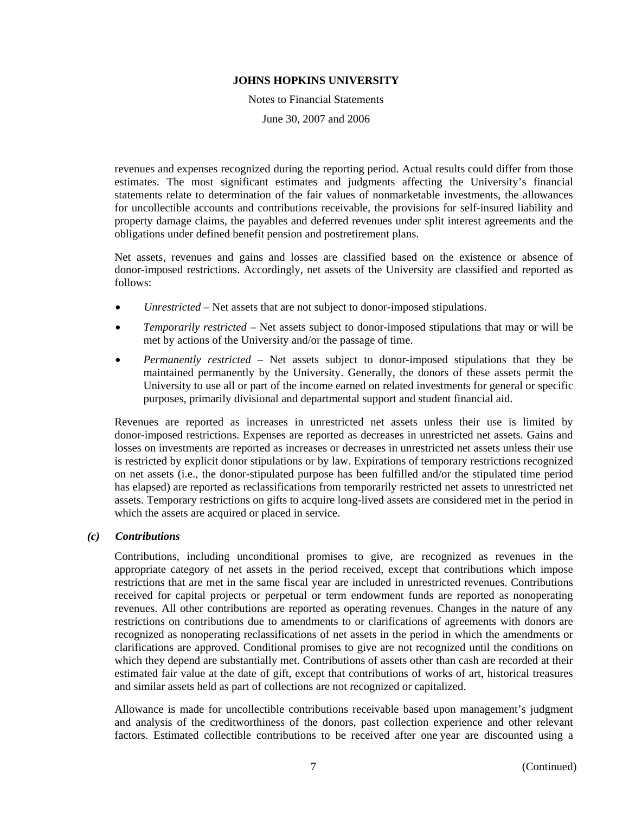Notes to Financial Statements June 30, 2007 and 2006

revenues and expenses recognized during the reporting period. Actual results could differ from those estimates. The most significant estimates and judgments affecting the University's financial statements relate to determination of the fair values of nonmarketable investments, the allowances for uncollectible accounts and contributions receivable, the provisions for self-insured liability and property damage claims, the payables and deferred revenues under split interest agreements and the obligations under defined benefit pension and postretirement plans.

Net assets, revenues and gains and losses are classified based on the existence or absence of donor-imposed restrictions. Accordingly, net assets of the University are classified and reported as follows:

- *Unrestricted* Net assets that are not subject to donor-imposed stipulations.
- *Temporarily restricted* Net assets subject to donor-imposed stipulations that may or will be met by actions of the University and/or the passage of time.
- *Permanently restricted* Net assets subject to donor-imposed stipulations that they be maintained permanently by the University. Generally, the donors of these assets permit the University to use all or part of the income earned on related investments for general or specific purposes, primarily divisional and departmental support and student financial aid.

Revenues are reported as increases in unrestricted net assets unless their use is limited by donor-imposed restrictions. Expenses are reported as decreases in unrestricted net assets. Gains and losses on investments are reported as increases or decreases in unrestricted net assets unless their use is restricted by explicit donor stipulations or by law. Expirations of temporary restrictions recognized on net assets (i.e., the donor-stipulated purpose has been fulfilled and/or the stipulated time period has elapsed) are reported as reclassifications from temporarily restricted net assets to unrestricted net assets. Temporary restrictions on gifts to acquire long-lived assets are considered met in the period in which the assets are acquired or placed in service.

### *(c) Contributions*

Contributions, including unconditional promises to give, are recognized as revenues in the appropriate category of net assets in the period received, except that contributions which impose restrictions that are met in the same fiscal year are included in unrestricted revenues. Contributions received for capital projects or perpetual or term endowment funds are reported as nonoperating revenues. All other contributions are reported as operating revenues. Changes in the nature of any restrictions on contributions due to amendments to or clarifications of agreements with donors are recognized as nonoperating reclassifications of net assets in the period in which the amendments or clarifications are approved. Conditional promises to give are not recognized until the conditions on which they depend are substantially met. Contributions of assets other than cash are recorded at their estimated fair value at the date of gift, except that contributions of works of art, historical treasures and similar assets held as part of collections are not recognized or capitalized.

Allowance is made for uncollectible contributions receivable based upon management's judgment and analysis of the creditworthiness of the donors, past collection experience and other relevant factors. Estimated collectible contributions to be received after one year are discounted using a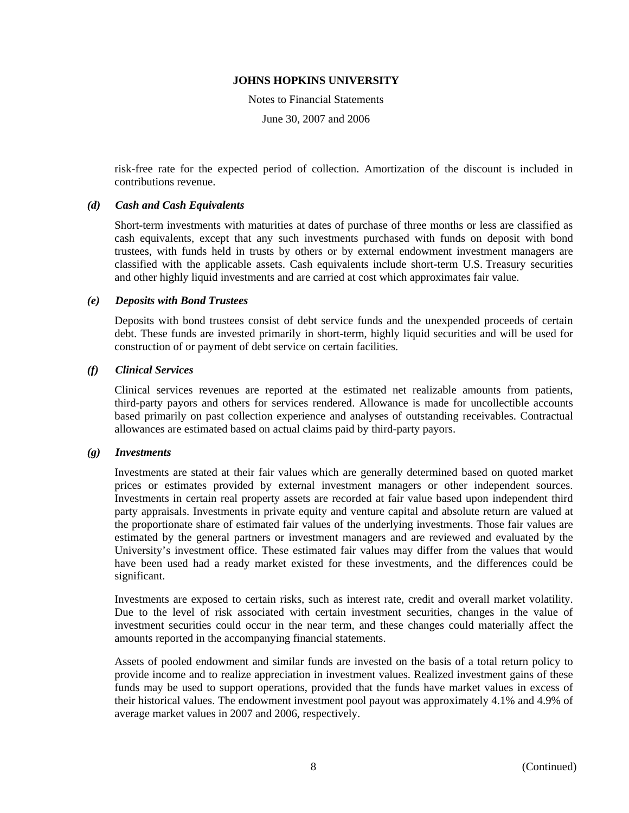Notes to Financial Statements

June 30, 2007 and 2006

risk-free rate for the expected period of collection. Amortization of the discount is included in contributions revenue.

### *(d) Cash and Cash Equivalents*

Short-term investments with maturities at dates of purchase of three months or less are classified as cash equivalents, except that any such investments purchased with funds on deposit with bond trustees, with funds held in trusts by others or by external endowment investment managers are classified with the applicable assets. Cash equivalents include short-term U.S. Treasury securities and other highly liquid investments and are carried at cost which approximates fair value.

### *(e) Deposits with Bond Trustees*

Deposits with bond trustees consist of debt service funds and the unexpended proceeds of certain debt. These funds are invested primarily in short-term, highly liquid securities and will be used for construction of or payment of debt service on certain facilities.

### *(f) Clinical Services*

Clinical services revenues are reported at the estimated net realizable amounts from patients, third-party payors and others for services rendered. Allowance is made for uncollectible accounts based primarily on past collection experience and analyses of outstanding receivables. Contractual allowances are estimated based on actual claims paid by third-party payors.

#### *(g) Investments*

Investments are stated at their fair values which are generally determined based on quoted market prices or estimates provided by external investment managers or other independent sources. Investments in certain real property assets are recorded at fair value based upon independent third party appraisals. Investments in private equity and venture capital and absolute return are valued at the proportionate share of estimated fair values of the underlying investments. Those fair values are estimated by the general partners or investment managers and are reviewed and evaluated by the University's investment office. These estimated fair values may differ from the values that would have been used had a ready market existed for these investments, and the differences could be significant.

Investments are exposed to certain risks, such as interest rate, credit and overall market volatility. Due to the level of risk associated with certain investment securities, changes in the value of investment securities could occur in the near term, and these changes could materially affect the amounts reported in the accompanying financial statements.

Assets of pooled endowment and similar funds are invested on the basis of a total return policy to provide income and to realize appreciation in investment values. Realized investment gains of these funds may be used to support operations, provided that the funds have market values in excess of their historical values. The endowment investment pool payout was approximately 4.1% and 4.9% of average market values in 2007 and 2006, respectively.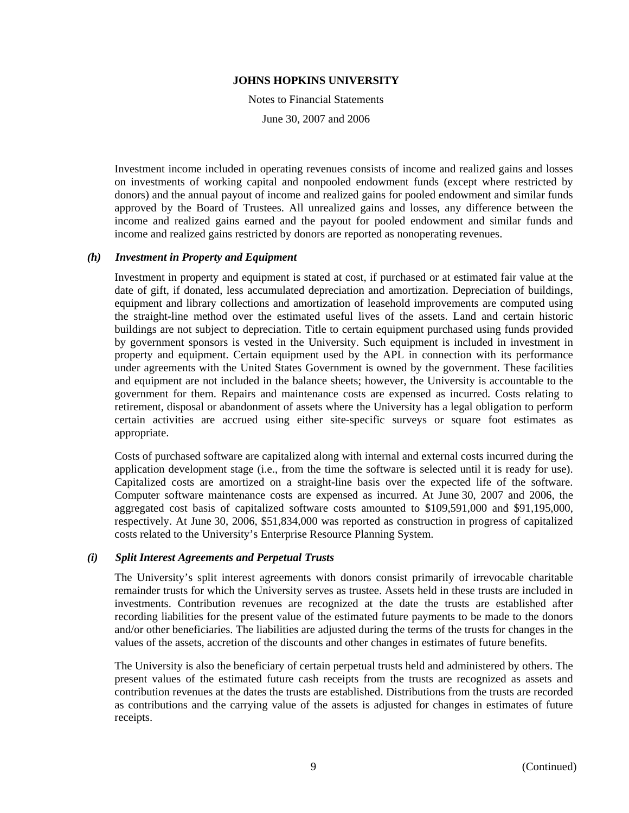Notes to Financial Statements

June 30, 2007 and 2006

Investment income included in operating revenues consists of income and realized gains and losses on investments of working capital and nonpooled endowment funds (except where restricted by donors) and the annual payout of income and realized gains for pooled endowment and similar funds approved by the Board of Trustees. All unrealized gains and losses, any difference between the income and realized gains earned and the payout for pooled endowment and similar funds and income and realized gains restricted by donors are reported as nonoperating revenues.

# *(h) Investment in Property and Equipment*

Investment in property and equipment is stated at cost, if purchased or at estimated fair value at the date of gift, if donated, less accumulated depreciation and amortization. Depreciation of buildings, equipment and library collections and amortization of leasehold improvements are computed using the straight-line method over the estimated useful lives of the assets. Land and certain historic buildings are not subject to depreciation. Title to certain equipment purchased using funds provided by government sponsors is vested in the University. Such equipment is included in investment in property and equipment. Certain equipment used by the APL in connection with its performance under agreements with the United States Government is owned by the government. These facilities and equipment are not included in the balance sheets; however, the University is accountable to the government for them. Repairs and maintenance costs are expensed as incurred. Costs relating to retirement, disposal or abandonment of assets where the University has a legal obligation to perform certain activities are accrued using either site-specific surveys or square foot estimates as appropriate.

Costs of purchased software are capitalized along with internal and external costs incurred during the application development stage (i.e., from the time the software is selected until it is ready for use). Capitalized costs are amortized on a straight-line basis over the expected life of the software. Computer software maintenance costs are expensed as incurred. At June 30, 2007 and 2006, the aggregated cost basis of capitalized software costs amounted to \$109,591,000 and \$91,195,000, respectively. At June 30, 2006, \$51,834,000 was reported as construction in progress of capitalized costs related to the University's Enterprise Resource Planning System.

### *(i) Split Interest Agreements and Perpetual Trusts*

The University's split interest agreements with donors consist primarily of irrevocable charitable remainder trusts for which the University serves as trustee. Assets held in these trusts are included in investments. Contribution revenues are recognized at the date the trusts are established after recording liabilities for the present value of the estimated future payments to be made to the donors and/or other beneficiaries. The liabilities are adjusted during the terms of the trusts for changes in the values of the assets, accretion of the discounts and other changes in estimates of future benefits.

The University is also the beneficiary of certain perpetual trusts held and administered by others. The present values of the estimated future cash receipts from the trusts are recognized as assets and contribution revenues at the dates the trusts are established. Distributions from the trusts are recorded as contributions and the carrying value of the assets is adjusted for changes in estimates of future receipts.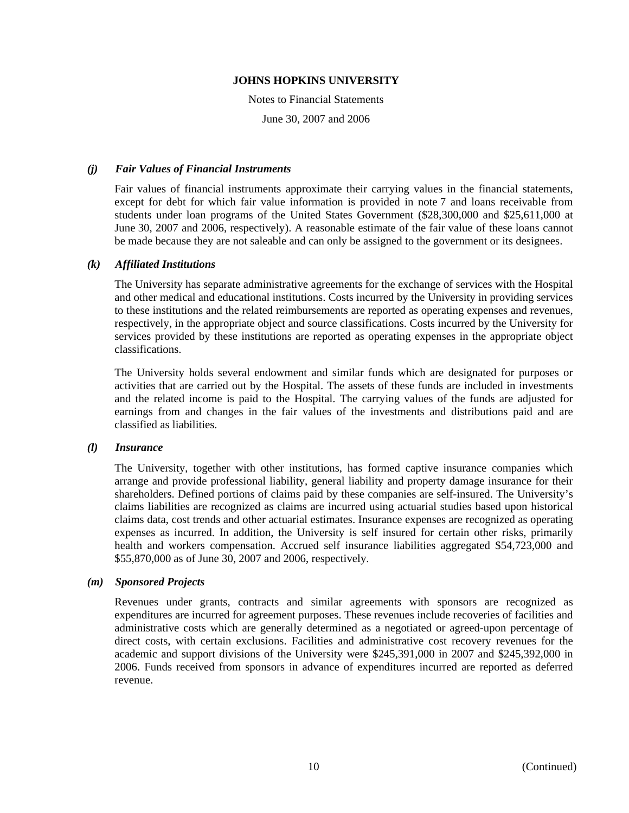Notes to Financial Statements

June 30, 2007 and 2006

### *(j) Fair Values of Financial Instruments*

Fair values of financial instruments approximate their carrying values in the financial statements, except for debt for which fair value information is provided in note 7 and loans receivable from students under loan programs of the United States Government (\$28,300,000 and \$25,611,000 at June 30, 2007 and 2006, respectively). A reasonable estimate of the fair value of these loans cannot be made because they are not saleable and can only be assigned to the government or its designees.

# *(k) Affiliated Institutions*

The University has separate administrative agreements for the exchange of services with the Hospital and other medical and educational institutions. Costs incurred by the University in providing services to these institutions and the related reimbursements are reported as operating expenses and revenues, respectively, in the appropriate object and source classifications. Costs incurred by the University for services provided by these institutions are reported as operating expenses in the appropriate object classifications.

The University holds several endowment and similar funds which are designated for purposes or activities that are carried out by the Hospital. The assets of these funds are included in investments and the related income is paid to the Hospital. The carrying values of the funds are adjusted for earnings from and changes in the fair values of the investments and distributions paid and are classified as liabilities.

### *(l) Insurance*

The University, together with other institutions, has formed captive insurance companies which arrange and provide professional liability, general liability and property damage insurance for their shareholders. Defined portions of claims paid by these companies are self-insured. The University's claims liabilities are recognized as claims are incurred using actuarial studies based upon historical claims data, cost trends and other actuarial estimates. Insurance expenses are recognized as operating expenses as incurred. In addition, the University is self insured for certain other risks, primarily health and workers compensation. Accrued self insurance liabilities aggregated \$54,723,000 and \$55,870,000 as of June 30, 2007 and 2006, respectively.

# *(m) Sponsored Projects*

Revenues under grants, contracts and similar agreements with sponsors are recognized as expenditures are incurred for agreement purposes. These revenues include recoveries of facilities and administrative costs which are generally determined as a negotiated or agreed-upon percentage of direct costs, with certain exclusions. Facilities and administrative cost recovery revenues for the academic and support divisions of the University were \$245,391,000 in 2007 and \$245,392,000 in 2006. Funds received from sponsors in advance of expenditures incurred are reported as deferred revenue.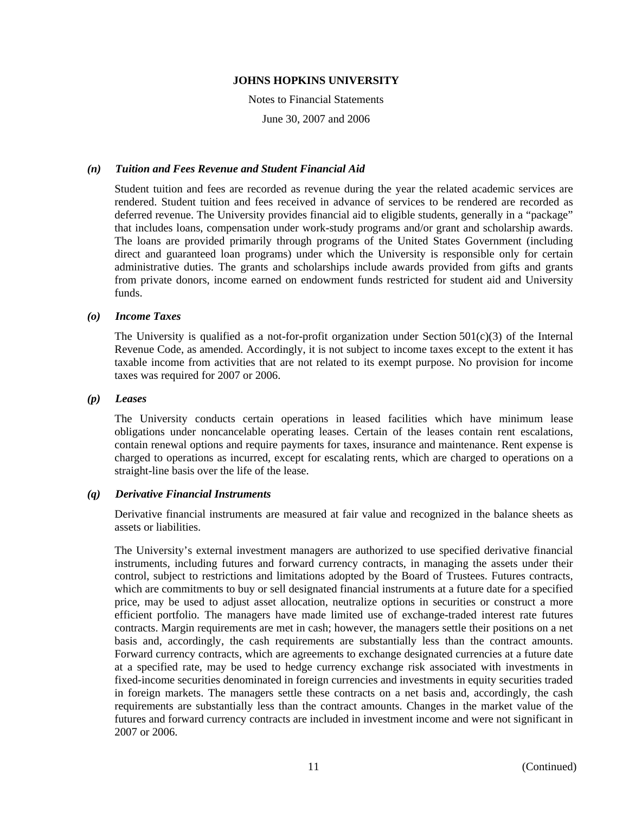Notes to Financial Statements

June 30, 2007 and 2006

# *(n) Tuition and Fees Revenue and Student Financial Aid*

Student tuition and fees are recorded as revenue during the year the related academic services are rendered. Student tuition and fees received in advance of services to be rendered are recorded as deferred revenue. The University provides financial aid to eligible students, generally in a "package" that includes loans, compensation under work-study programs and/or grant and scholarship awards. The loans are provided primarily through programs of the United States Government (including direct and guaranteed loan programs) under which the University is responsible only for certain administrative duties. The grants and scholarships include awards provided from gifts and grants from private donors, income earned on endowment funds restricted for student aid and University funds.

# *(o) Income Taxes*

The University is qualified as a not-for-profit organization under Section  $501(c)(3)$  of the Internal Revenue Code, as amended. Accordingly, it is not subject to income taxes except to the extent it has taxable income from activities that are not related to its exempt purpose. No provision for income taxes was required for 2007 or 2006.

# *(p) Leases*

The University conducts certain operations in leased facilities which have minimum lease obligations under noncancelable operating leases. Certain of the leases contain rent escalations, contain renewal options and require payments for taxes, insurance and maintenance. Rent expense is charged to operations as incurred, except for escalating rents, which are charged to operations on a straight-line basis over the life of the lease.

### *(q) Derivative Financial Instruments*

Derivative financial instruments are measured at fair value and recognized in the balance sheets as assets or liabilities.

The University's external investment managers are authorized to use specified derivative financial instruments, including futures and forward currency contracts, in managing the assets under their control, subject to restrictions and limitations adopted by the Board of Trustees. Futures contracts, which are commitments to buy or sell designated financial instruments at a future date for a specified price, may be used to adjust asset allocation, neutralize options in securities or construct a more efficient portfolio. The managers have made limited use of exchange-traded interest rate futures contracts. Margin requirements are met in cash; however, the managers settle their positions on a net basis and, accordingly, the cash requirements are substantially less than the contract amounts. Forward currency contracts, which are agreements to exchange designated currencies at a future date at a specified rate, may be used to hedge currency exchange risk associated with investments in fixed-income securities denominated in foreign currencies and investments in equity securities traded in foreign markets. The managers settle these contracts on a net basis and, accordingly, the cash requirements are substantially less than the contract amounts. Changes in the market value of the futures and forward currency contracts are included in investment income and were not significant in 2007 or 2006.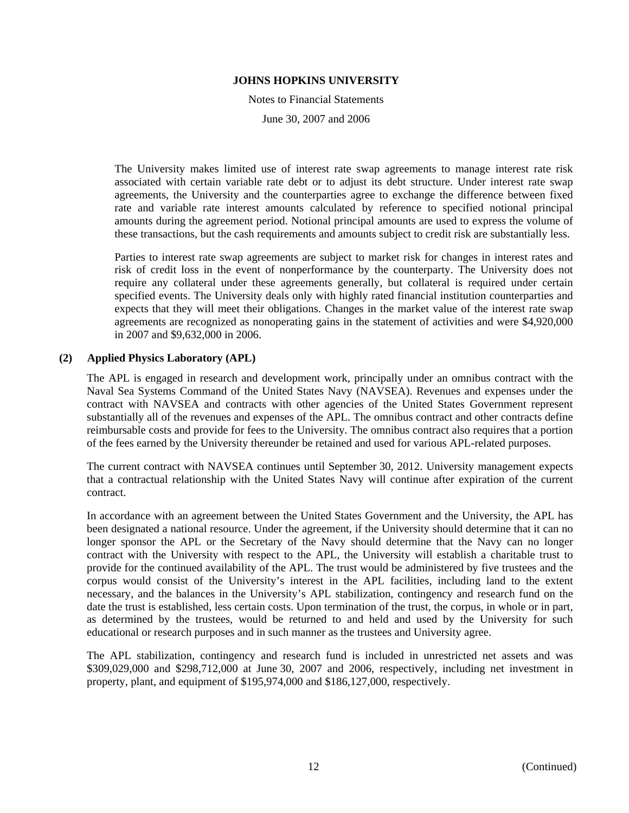Notes to Financial Statements June 30, 2007 and 2006

The University makes limited use of interest rate swap agreements to manage interest rate risk associated with certain variable rate debt or to adjust its debt structure. Under interest rate swap agreements, the University and the counterparties agree to exchange the difference between fixed rate and variable rate interest amounts calculated by reference to specified notional principal amounts during the agreement period. Notional principal amounts are used to express the volume of these transactions, but the cash requirements and amounts subject to credit risk are substantially less.

Parties to interest rate swap agreements are subject to market risk for changes in interest rates and risk of credit loss in the event of nonperformance by the counterparty. The University does not require any collateral under these agreements generally, but collateral is required under certain specified events. The University deals only with highly rated financial institution counterparties and expects that they will meet their obligations. Changes in the market value of the interest rate swap agreements are recognized as nonoperating gains in the statement of activities and were \$4,920,000 in 2007 and \$9,632,000 in 2006.

### **(2) Applied Physics Laboratory (APL)**

The APL is engaged in research and development work, principally under an omnibus contract with the Naval Sea Systems Command of the United States Navy (NAVSEA). Revenues and expenses under the contract with NAVSEA and contracts with other agencies of the United States Government represent substantially all of the revenues and expenses of the APL. The omnibus contract and other contracts define reimbursable costs and provide for fees to the University. The omnibus contract also requires that a portion of the fees earned by the University thereunder be retained and used for various APL-related purposes.

The current contract with NAVSEA continues until September 30, 2012. University management expects that a contractual relationship with the United States Navy will continue after expiration of the current contract.

In accordance with an agreement between the United States Government and the University, the APL has been designated a national resource. Under the agreement, if the University should determine that it can no longer sponsor the APL or the Secretary of the Navy should determine that the Navy can no longer contract with the University with respect to the APL, the University will establish a charitable trust to provide for the continued availability of the APL. The trust would be administered by five trustees and the corpus would consist of the University's interest in the APL facilities, including land to the extent necessary, and the balances in the University's APL stabilization, contingency and research fund on the date the trust is established, less certain costs. Upon termination of the trust, the corpus, in whole or in part, as determined by the trustees, would be returned to and held and used by the University for such educational or research purposes and in such manner as the trustees and University agree.

The APL stabilization, contingency and research fund is included in unrestricted net assets and was \$309,029,000 and \$298,712,000 at June 30, 2007 and 2006, respectively, including net investment in property, plant, and equipment of \$195,974,000 and \$186,127,000, respectively.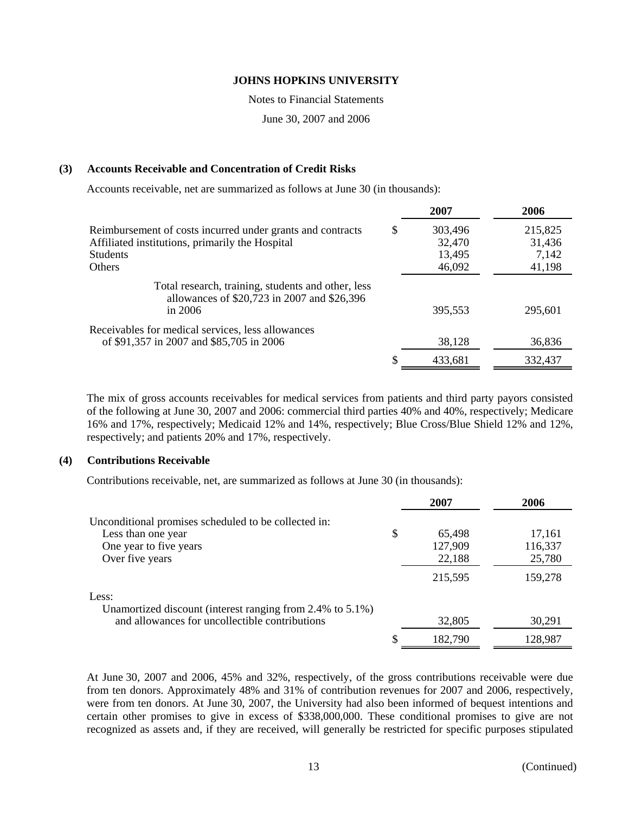Notes to Financial Statements

June 30, 2007 and 2006

# **(3) Accounts Receivable and Concentration of Credit Risks**

Accounts receivable, net are summarized as follows at June 30 (in thousands):

|                                                                                                   | 2007    | 2006    |
|---------------------------------------------------------------------------------------------------|---------|---------|
| Reimbursement of costs incurred under grants and contracts<br>\$                                  | 303,496 | 215,825 |
| Affiliated institutions, primarily the Hospital                                                   | 32,470  | 31,436  |
| <b>Students</b>                                                                                   | 13,495  | 7,142   |
| <b>Others</b>                                                                                     | 46,092  | 41,198  |
| Total research, training, students and other, less<br>allowances of \$20,723 in 2007 and \$26,396 |         |         |
| in $2006$                                                                                         | 395,553 | 295,601 |
| Receivables for medical services, less allowances                                                 |         |         |
| of \$91,357 in 2007 and \$85,705 in 2006                                                          | 38,128  | 36,836  |
|                                                                                                   | 433,681 | 332,437 |

The mix of gross accounts receivables for medical services from patients and third party payors consisted of the following at June 30, 2007 and 2006: commercial third parties 40% and 40%, respectively; Medicare 16% and 17%, respectively; Medicaid 12% and 14%, respectively; Blue Cross/Blue Shield 12% and 12%, respectively; and patients 20% and 17%, respectively.

### **(4) Contributions Receivable**

Contributions receivable, net, are summarized as follows at June 30 (in thousands):

|                                                           | 2007         | 2006    |
|-----------------------------------------------------------|--------------|---------|
| Unconditional promises scheduled to be collected in:      |              |         |
| Less than one year                                        | \$<br>65,498 | 17,161  |
| One year to five years                                    | 127,909      | 116,337 |
| Over five years                                           | 22,188       | 25,780  |
|                                                           | 215,595      | 159,278 |
| Less:                                                     |              |         |
| Unamortized discount (interest ranging from 2.4% to 5.1%) |              |         |
| and allowances for uncollectible contributions            | 32,805       | 30,291  |
|                                                           | 182,790      | 128,987 |

At June 30, 2007 and 2006, 45% and 32%, respectively, of the gross contributions receivable were due from ten donors. Approximately 48% and 31% of contribution revenues for 2007 and 2006, respectively, were from ten donors. At June 30, 2007, the University had also been informed of bequest intentions and certain other promises to give in excess of \$338,000,000. These conditional promises to give are not recognized as assets and, if they are received, will generally be restricted for specific purposes stipulated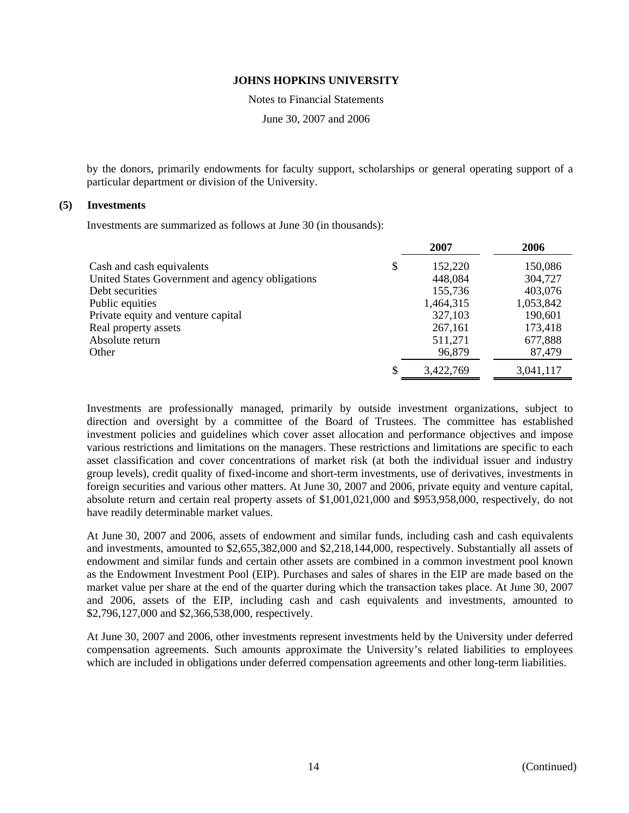Notes to Financial Statements

June 30, 2007 and 2006

by the donors, primarily endowments for faculty support, scholarships or general operating support of a particular department or division of the University.

### **(5) Investments**

Investments are summarized as follows at June 30 (in thousands):

|                                                 | 2007          | 2006      |
|-------------------------------------------------|---------------|-----------|
| Cash and cash equivalents                       | \$<br>152,220 | 150,086   |
| United States Government and agency obligations | 448,084       | 304,727   |
| Debt securities                                 | 155,736       | 403,076   |
| Public equities                                 | 1,464,315     | 1,053,842 |
| Private equity and venture capital              | 327,103       | 190,601   |
| Real property assets                            | 267,161       | 173,418   |
| Absolute return                                 | 511,271       | 677,888   |
| Other                                           | 96,879        | 87,479    |
|                                                 | 3,422,769     | 3,041,117 |

Investments are professionally managed, primarily by outside investment organizations, subject to direction and oversight by a committee of the Board of Trustees. The committee has established investment policies and guidelines which cover asset allocation and performance objectives and impose various restrictions and limitations on the managers. These restrictions and limitations are specific to each asset classification and cover concentrations of market risk (at both the individual issuer and industry group levels), credit quality of fixed-income and short-term investments, use of derivatives, investments in foreign securities and various other matters. At June 30, 2007 and 2006, private equity and venture capital, absolute return and certain real property assets of \$1,001,021,000 and \$953,958,000, respectively, do not have readily determinable market values.

At June 30, 2007 and 2006, assets of endowment and similar funds, including cash and cash equivalents and investments, amounted to \$2,655,382,000 and \$2,218,144,000, respectively. Substantially all assets of endowment and similar funds and certain other assets are combined in a common investment pool known as the Endowment Investment Pool (EIP). Purchases and sales of shares in the EIP are made based on the market value per share at the end of the quarter during which the transaction takes place. At June 30, 2007 and 2006, assets of the EIP, including cash and cash equivalents and investments, amounted to \$2,796,127,000 and \$2,366,538,000, respectively.

At June 30, 2007 and 2006, other investments represent investments held by the University under deferred compensation agreements. Such amounts approximate the University's related liabilities to employees which are included in obligations under deferred compensation agreements and other long-term liabilities.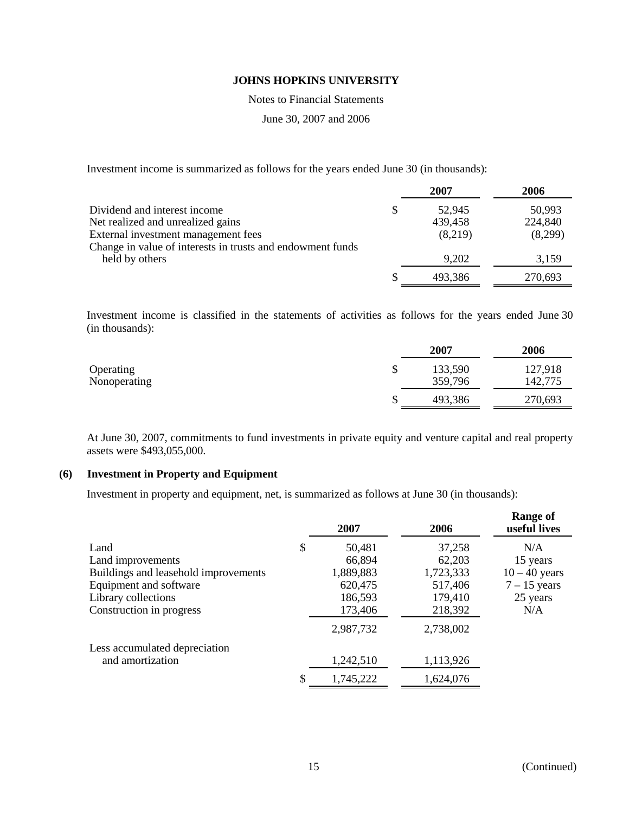Notes to Financial Statements

June 30, 2007 and 2006

Investment income is summarized as follows for the years ended June 30 (in thousands):

|                                                            | 2007         | 2006    |
|------------------------------------------------------------|--------------|---------|
| Dividend and interest income                               | \$<br>52,945 | 50,993  |
| Net realized and unrealized gains                          | 439,458      | 224,840 |
| External investment management fees                        | (8,219)      | (8,299) |
| Change in value of interests in trusts and endowment funds |              |         |
| held by others                                             | 9,202        | 3,159   |
|                                                            | 493,386      | 270,693 |

Investment income is classified in the statements of activities as follows for the years ended June 30 (in thousands):

|              |         | 2007    | 2006    |
|--------------|---------|---------|---------|
| Operating    | ጦ<br>J) | 133,590 | 127,918 |
| Nonoperating |         | 359,796 | 142,775 |
|              | ιIJ     | 493,386 | 270,693 |
|              |         |         |         |

At June 30, 2007, commitments to fund investments in private equity and venture capital and real property assets were \$493,055,000.

# **(6) Investment in Property and Equipment**

Investment in property and equipment, net, is summarized as follows at June 30 (in thousands):

|                                      | 2007            | 2006      | <b>Range of</b><br>useful lives |
|--------------------------------------|-----------------|-----------|---------------------------------|
| Land                                 | \$<br>50,481    | 37,258    | N/A                             |
| Land improvements                    | 66,894          | 62,203    | 15 years                        |
| Buildings and leasehold improvements | 1,889,883       | 1,723,333 | $10 - 40$ years                 |
| Equipment and software               | 620,475         | 517,406   | $7 - 15$ years                  |
| Library collections                  | 186,593         | 179,410   | 25 years                        |
| Construction in progress             | 173,406         | 218,392   | N/A                             |
|                                      | 2,987,732       | 2,738,002 |                                 |
| Less accumulated depreciation        |                 |           |                                 |
| and amortization                     | 1,242,510       | 1,113,926 |                                 |
|                                      | \$<br>1,745,222 | 1,624,076 |                                 |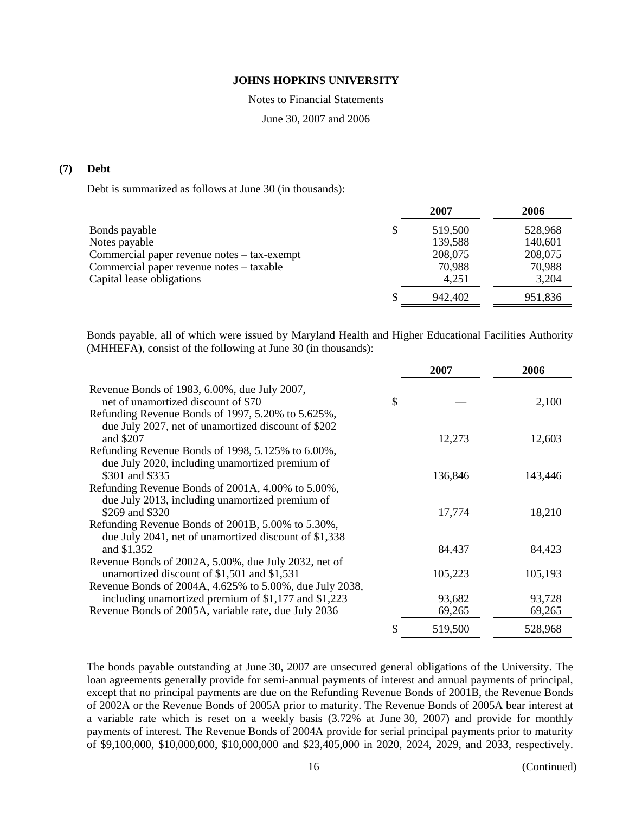Notes to Financial Statements

June 30, 2007 and 2006

# **(7) Debt**

Debt is summarized as follows at June 30 (in thousands):

|                                             | 2007          | 2006    |
|---------------------------------------------|---------------|---------|
| Bonds payable                               | \$<br>519,500 | 528,968 |
| Notes payable                               | 139,588       | 140,601 |
| Commercial paper revenue notes – tax-exempt | 208,075       | 208,075 |
| Commercial paper revenue notes – taxable    | 70,988        | 70,988  |
| Capital lease obligations                   | 4.251         | 3,204   |
|                                             | 942.402       | 951,836 |
|                                             |               |         |

Bonds payable, all of which were issued by Maryland Health and Higher Educational Facilities Authority (MHHEFA), consist of the following at June 30 (in thousands):

|                                                                                                            | 2007          | 2006    |
|------------------------------------------------------------------------------------------------------------|---------------|---------|
| Revenue Bonds of 1983, 6.00%, due July 2007,<br>net of unamortized discount of \$70                        | \$            | 2,100   |
| Refunding Revenue Bonds of 1997, 5.20% to 5.625%,<br>due July 2027, net of unamortized discount of \$202   |               |         |
| and \$207                                                                                                  | 12,273        | 12,603  |
| Refunding Revenue Bonds of 1998, 5.125% to 6.00%,<br>due July 2020, including unamortized premium of       |               |         |
| \$301 and \$335                                                                                            | 136,846       | 143,446 |
| Refunding Revenue Bonds of 2001A, 4.00% to 5.00%,<br>due July 2013, including unamortized premium of       |               |         |
| \$269 and \$320                                                                                            | 17,774        | 18,210  |
| Refunding Revenue Bonds of 2001B, 5.00% to 5.30%,<br>due July 2041, net of unamortized discount of \$1,338 |               |         |
| and \$1,352                                                                                                | 84,437        | 84,423  |
| Revenue Bonds of 2002A, 5.00%, due July 2032, net of                                                       |               |         |
| unamortized discount of \$1,501 and \$1,531                                                                | 105,223       | 105,193 |
| Revenue Bonds of 2004A, 4.625% to 5.00%, due July 2038,                                                    |               |         |
| including unamortized premium of \$1,177 and \$1,223                                                       | 93,682        | 93,728  |
| Revenue Bonds of 2005A, variable rate, due July 2036                                                       | 69,265        | 69,265  |
|                                                                                                            | \$<br>519,500 | 528,968 |

The bonds payable outstanding at June 30, 2007 are unsecured general obligations of the University. The loan agreements generally provide for semi-annual payments of interest and annual payments of principal, except that no principal payments are due on the Refunding Revenue Bonds of 2001B, the Revenue Bonds of 2002A or the Revenue Bonds of 2005A prior to maturity. The Revenue Bonds of 2005A bear interest at a variable rate which is reset on a weekly basis (3.72% at June 30, 2007) and provide for monthly payments of interest. The Revenue Bonds of 2004A provide for serial principal payments prior to maturity of \$9,100,000, \$10,000,000, \$10,000,000 and \$23,405,000 in 2020, 2024, 2029, and 2033, respectively.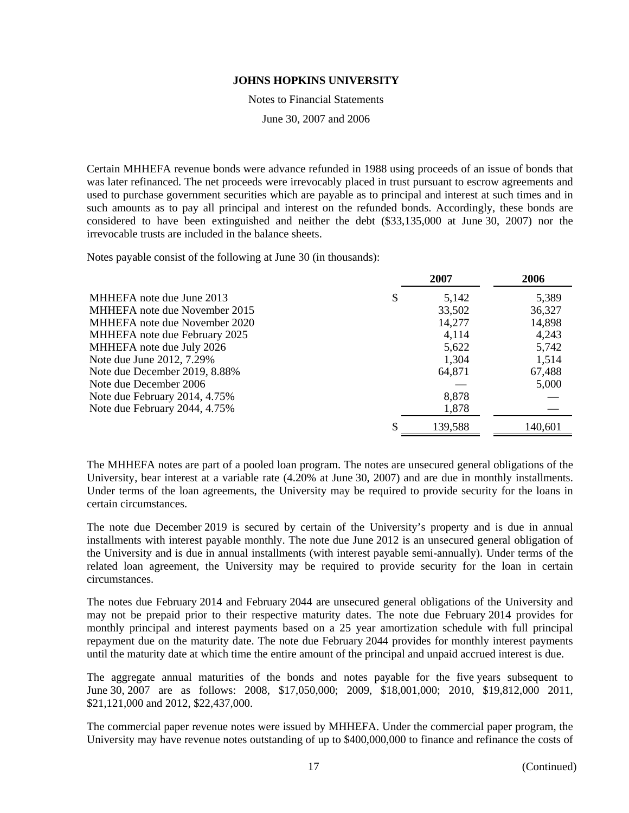Notes to Financial Statements

June 30, 2007 and 2006

Certain MHHEFA revenue bonds were advance refunded in 1988 using proceeds of an issue of bonds that was later refinanced. The net proceeds were irrevocably placed in trust pursuant to escrow agreements and used to purchase government securities which are payable as to principal and interest at such times and in such amounts as to pay all principal and interest on the refunded bonds. Accordingly, these bonds are considered to have been extinguished and neither the debt (\$33,135,000 at June 30, 2007) nor the irrevocable trusts are included in the balance sheets.

Notes payable consist of the following at June 30 (in thousands):

|                               | 2007        | 2006    |
|-------------------------------|-------------|---------|
| MHHEFA note due June 2013     | \$<br>5,142 | 5,389   |
| MHHEFA note due November 2015 | 33,502      | 36,327  |
| MHHEFA note due November 2020 | 14,277      | 14,898  |
| MHHEFA note due February 2025 | 4,114       | 4,243   |
| MHHEFA note due July 2026     | 5,622       | 5,742   |
| Note due June 2012, 7.29%     | 1,304       | 1,514   |
| Note due December 2019, 8.88% | 64,871      | 67,488  |
| Note due December 2006        |             | 5,000   |
| Note due February 2014, 4.75% | 8,878       |         |
| Note due February 2044, 4.75% | 1,878       |         |
|                               | 139,588     | 140,601 |

The MHHEFA notes are part of a pooled loan program. The notes are unsecured general obligations of the University, bear interest at a variable rate (4.20% at June 30, 2007) and are due in monthly installments. Under terms of the loan agreements, the University may be required to provide security for the loans in certain circumstances.

The note due December 2019 is secured by certain of the University's property and is due in annual installments with interest payable monthly. The note due June 2012 is an unsecured general obligation of the University and is due in annual installments (with interest payable semi-annually). Under terms of the related loan agreement, the University may be required to provide security for the loan in certain circumstances.

The notes due February 2014 and February 2044 are unsecured general obligations of the University and may not be prepaid prior to their respective maturity dates. The note due February 2014 provides for monthly principal and interest payments based on a 25 year amortization schedule with full principal repayment due on the maturity date. The note due February 2044 provides for monthly interest payments until the maturity date at which time the entire amount of the principal and unpaid accrued interest is due.

The aggregate annual maturities of the bonds and notes payable for the five years subsequent to June 30, 2007 are as follows: 2008, \$17,050,000; 2009, \$18,001,000; 2010, \$19,812,000 2011, \$21,121,000 and 2012, \$22,437,000.

The commercial paper revenue notes were issued by MHHEFA. Under the commercial paper program, the University may have revenue notes outstanding of up to \$400,000,000 to finance and refinance the costs of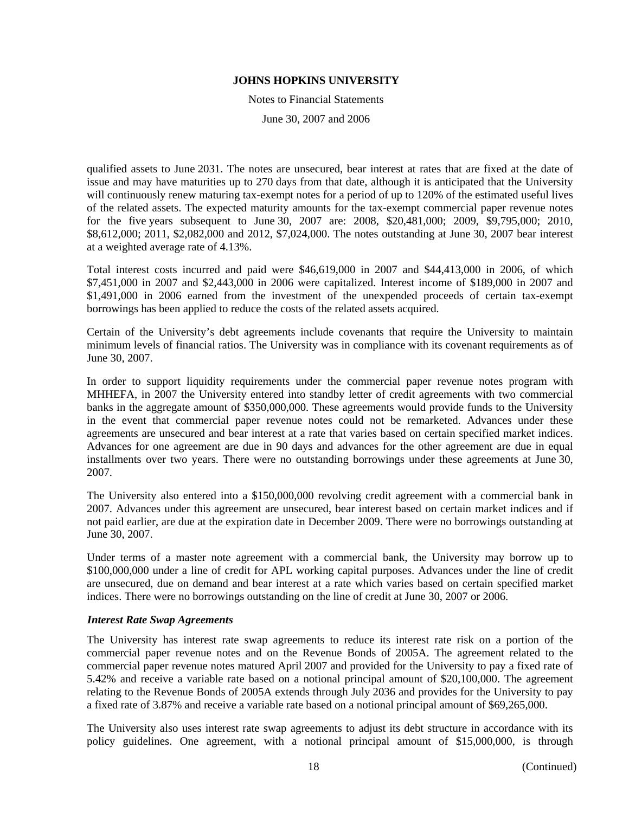Notes to Financial Statements

June 30, 2007 and 2006

qualified assets to June 2031. The notes are unsecured, bear interest at rates that are fixed at the date of issue and may have maturities up to 270 days from that date, although it is anticipated that the University will continuously renew maturing tax-exempt notes for a period of up to 120% of the estimated useful lives of the related assets. The expected maturity amounts for the tax-exempt commercial paper revenue notes for the five years subsequent to June 30, 2007 are: 2008, \$20,481,000; 2009, \$9,795,000; 2010, \$8,612,000; 2011, \$2,082,000 and 2012, \$7,024,000. The notes outstanding at June 30, 2007 bear interest at a weighted average rate of 4.13%.

Total interest costs incurred and paid were \$46,619,000 in 2007 and \$44,413,000 in 2006, of which \$7,451,000 in 2007 and \$2,443,000 in 2006 were capitalized. Interest income of \$189,000 in 2007 and \$1,491,000 in 2006 earned from the investment of the unexpended proceeds of certain tax-exempt borrowings has been applied to reduce the costs of the related assets acquired.

Certain of the University's debt agreements include covenants that require the University to maintain minimum levels of financial ratios. The University was in compliance with its covenant requirements as of June 30, 2007.

In order to support liquidity requirements under the commercial paper revenue notes program with MHHEFA, in 2007 the University entered into standby letter of credit agreements with two commercial banks in the aggregate amount of \$350,000,000. These agreements would provide funds to the University in the event that commercial paper revenue notes could not be remarketed. Advances under these agreements are unsecured and bear interest at a rate that varies based on certain specified market indices. Advances for one agreement are due in 90 days and advances for the other agreement are due in equal installments over two years. There were no outstanding borrowings under these agreements at June 30, 2007.

The University also entered into a \$150,000,000 revolving credit agreement with a commercial bank in 2007. Advances under this agreement are unsecured, bear interest based on certain market indices and if not paid earlier, are due at the expiration date in December 2009. There were no borrowings outstanding at June 30, 2007.

Under terms of a master note agreement with a commercial bank, the University may borrow up to \$100,000,000 under a line of credit for APL working capital purposes. Advances under the line of credit are unsecured, due on demand and bear interest at a rate which varies based on certain specified market indices. There were no borrowings outstanding on the line of credit at June 30, 2007 or 2006.

### *Interest Rate Swap Agreements*

The University has interest rate swap agreements to reduce its interest rate risk on a portion of the commercial paper revenue notes and on the Revenue Bonds of 2005A. The agreement related to the commercial paper revenue notes matured April 2007 and provided for the University to pay a fixed rate of 5.42% and receive a variable rate based on a notional principal amount of \$20,100,000. The agreement relating to the Revenue Bonds of 2005A extends through July 2036 and provides for the University to pay a fixed rate of 3.87% and receive a variable rate based on a notional principal amount of \$69,265,000.

The University also uses interest rate swap agreements to adjust its debt structure in accordance with its policy guidelines. One agreement, with a notional principal amount of \$15,000,000, is through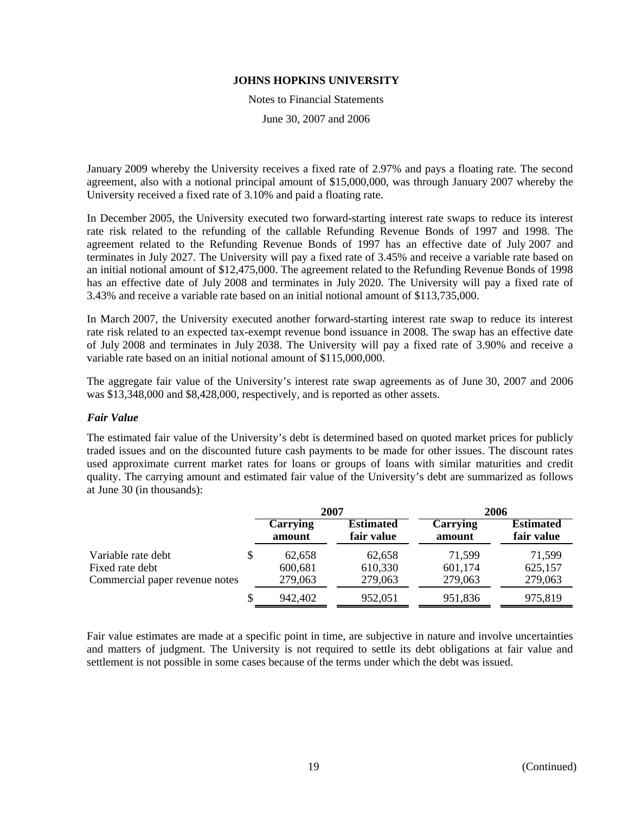Notes to Financial Statements

June 30, 2007 and 2006

January 2009 whereby the University receives a fixed rate of 2.97% and pays a floating rate. The second agreement, also with a notional principal amount of \$15,000,000, was through January 2007 whereby the University received a fixed rate of 3.10% and paid a floating rate.

In December 2005, the University executed two forward-starting interest rate swaps to reduce its interest rate risk related to the refunding of the callable Refunding Revenue Bonds of 1997 and 1998. The agreement related to the Refunding Revenue Bonds of 1997 has an effective date of July 2007 and terminates in July 2027. The University will pay a fixed rate of 3.45% and receive a variable rate based on an initial notional amount of \$12,475,000. The agreement related to the Refunding Revenue Bonds of 1998 has an effective date of July 2008 and terminates in July 2020. The University will pay a fixed rate of 3.43% and receive a variable rate based on an initial notional amount of \$113,735,000.

In March 2007, the University executed another forward-starting interest rate swap to reduce its interest rate risk related to an expected tax-exempt revenue bond issuance in 2008. The swap has an effective date of July 2008 and terminates in July 2038. The University will pay a fixed rate of 3.90% and receive a variable rate based on an initial notional amount of \$115,000,000.

The aggregate fair value of the University's interest rate swap agreements as of June 30, 2007 and 2006 was \$13,348,000 and \$8,428,000, respectively, and is reported as other assets.

### *Fair Value*

The estimated fair value of the University's debt is determined based on quoted market prices for publicly traded issues and on the discounted future cash payments to be made for other issues. The discount rates used approximate current market rates for loans or groups of loans with similar maturities and credit quality. The carrying amount and estimated fair value of the University's debt are summarized as follows at June 30 (in thousands):

|                                                                         |                              | 2007                           | 2006                         |                                |
|-------------------------------------------------------------------------|------------------------------|--------------------------------|------------------------------|--------------------------------|
|                                                                         | <b>Carrying</b><br>amount    | <b>Estimated</b><br>fair value | Carrying<br>amount           | <b>Estimated</b><br>fair value |
| Variable rate debt<br>Fixed rate debt<br>Commercial paper revenue notes | 62,658<br>600,681<br>279,063 | 62,658<br>610,330<br>279,063   | 71,599<br>601,174<br>279,063 | 71,599<br>625,157<br>279,063   |
|                                                                         | 942,402                      | 952,051                        | 951,836                      | 975,819                        |

Fair value estimates are made at a specific point in time, are subjective in nature and involve uncertainties and matters of judgment. The University is not required to settle its debt obligations at fair value and settlement is not possible in some cases because of the terms under which the debt was issued.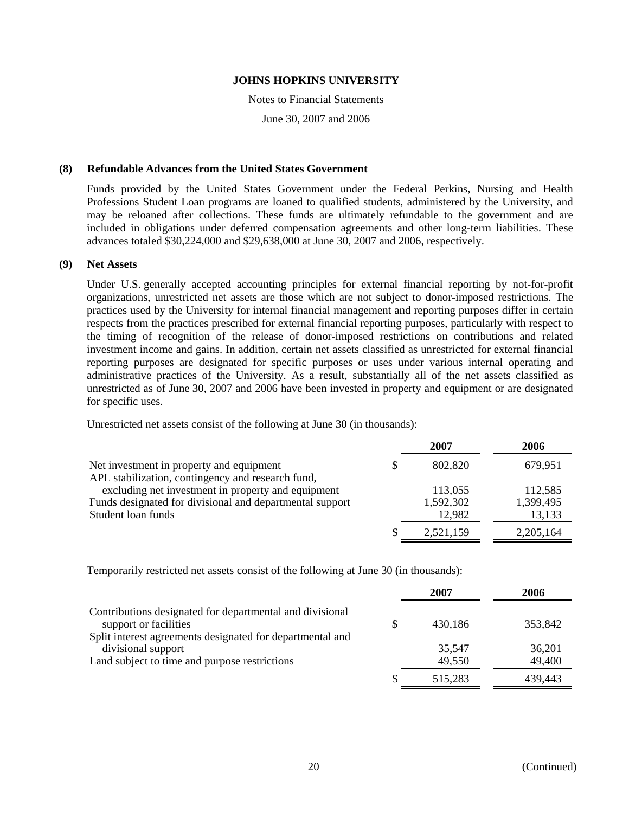Notes to Financial Statements

June 30, 2007 and 2006

### **(8) Refundable Advances from the United States Government**

Funds provided by the United States Government under the Federal Perkins, Nursing and Health Professions Student Loan programs are loaned to qualified students, administered by the University, and may be reloaned after collections. These funds are ultimately refundable to the government and are included in obligations under deferred compensation agreements and other long-term liabilities. These advances totaled \$30,224,000 and \$29,638,000 at June 30, 2007 and 2006, respectively.

### **(9) Net Assets**

Under U.S. generally accepted accounting principles for external financial reporting by not-for-profit organizations, unrestricted net assets are those which are not subject to donor-imposed restrictions. The practices used by the University for internal financial management and reporting purposes differ in certain respects from the practices prescribed for external financial reporting purposes, particularly with respect to the timing of recognition of the release of donor-imposed restrictions on contributions and related investment income and gains. In addition, certain net assets classified as unrestricted for external financial reporting purposes are designated for specific purposes or uses under various internal operating and administrative practices of the University. As a result, substantially all of the net assets classified as unrestricted as of June 30, 2007 and 2006 have been invested in property and equipment or are designated for specific uses.

Unrestricted net assets consist of the following at June 30 (in thousands):

|                                                          | 2007      | 2006      |
|----------------------------------------------------------|-----------|-----------|
| Net investment in property and equipment                 | 802,820   | 679,951   |
| APL stabilization, contingency and research fund,        |           |           |
| excluding net investment in property and equipment       | 113,055   | 112,585   |
| Funds designated for divisional and departmental support | 1,592,302 | 1,399,495 |
| Student loan funds                                       | 12,982    | 13,133    |
|                                                          | 2,521,159 | 2,205,164 |

Temporarily restricted net assets consist of the following at June 30 (in thousands):

|                                                                                   | 2007             | 2006             |
|-----------------------------------------------------------------------------------|------------------|------------------|
| Contributions designated for departmental and divisional<br>support or facilities | 430,186          | 353,842          |
| Split interest agreements designated for departmental and<br>divisional support   | 35,547<br>49,550 | 36,201<br>49,400 |
| Land subject to time and purpose restrictions                                     | 515,283          | 439,443          |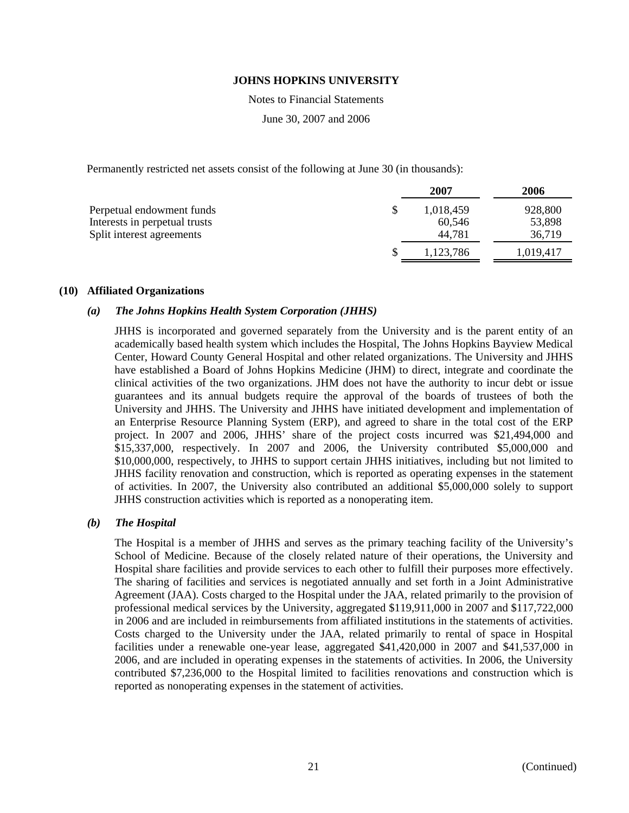Notes to Financial Statements

June 30, 2007 and 2006

Permanently restricted net assets consist of the following at June 30 (in thousands):

| 2007      | 2006      |
|-----------|-----------|
| 1,018,459 | 928,800   |
| 60.546    | 53,898    |
| 44,781    | 36,719    |
| 1,123,786 | 1,019,417 |
|           |           |

### **(10) Affiliated Organizations**

# *(a) The Johns Hopkins Health System Corporation (JHHS)*

JHHS is incorporated and governed separately from the University and is the parent entity of an academically based health system which includes the Hospital, The Johns Hopkins Bayview Medical Center, Howard County General Hospital and other related organizations. The University and JHHS have established a Board of Johns Hopkins Medicine (JHM) to direct, integrate and coordinate the clinical activities of the two organizations. JHM does not have the authority to incur debt or issue guarantees and its annual budgets require the approval of the boards of trustees of both the University and JHHS. The University and JHHS have initiated development and implementation of an Enterprise Resource Planning System (ERP), and agreed to share in the total cost of the ERP project. In 2007 and 2006, JHHS' share of the project costs incurred was \$21,494,000 and \$15,337,000, respectively. In 2007 and 2006, the University contributed \$5,000,000 and \$10,000,000, respectively, to JHHS to support certain JHHS initiatives, including but not limited to JHHS facility renovation and construction, which is reported as operating expenses in the statement of activities. In 2007, the University also contributed an additional \$5,000,000 solely to support JHHS construction activities which is reported as a nonoperating item.

### *(b) The Hospital*

The Hospital is a member of JHHS and serves as the primary teaching facility of the University's School of Medicine. Because of the closely related nature of their operations, the University and Hospital share facilities and provide services to each other to fulfill their purposes more effectively. The sharing of facilities and services is negotiated annually and set forth in a Joint Administrative Agreement (JAA). Costs charged to the Hospital under the JAA, related primarily to the provision of professional medical services by the University, aggregated \$119,911,000 in 2007 and \$117,722,000 in 2006 and are included in reimbursements from affiliated institutions in the statements of activities. Costs charged to the University under the JAA, related primarily to rental of space in Hospital facilities under a renewable one-year lease, aggregated \$41,420,000 in 2007 and \$41,537,000 in 2006, and are included in operating expenses in the statements of activities. In 2006, the University contributed \$7,236,000 to the Hospital limited to facilities renovations and construction which is reported as nonoperating expenses in the statement of activities.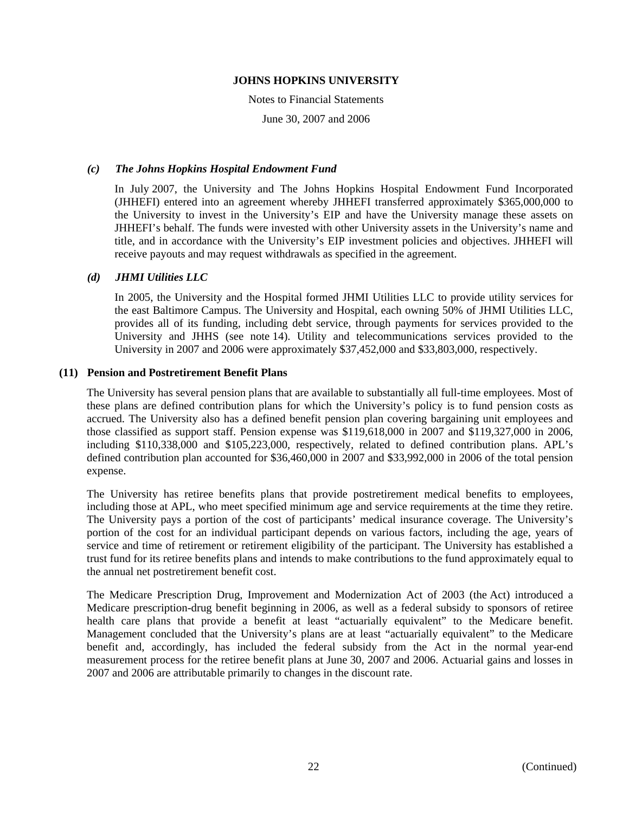Notes to Financial Statements

June 30, 2007 and 2006

### *(c) The Johns Hopkins Hospital Endowment Fund*

In July 2007, the University and The Johns Hopkins Hospital Endowment Fund Incorporated (JHHEFI) entered into an agreement whereby JHHEFI transferred approximately \$365,000,000 to the University to invest in the University's EIP and have the University manage these assets on JHHEFI's behalf. The funds were invested with other University assets in the University's name and title, and in accordance with the University's EIP investment policies and objectives. JHHEFI will receive payouts and may request withdrawals as specified in the agreement.

# *(d) JHMI Utilities LLC*

In 2005, the University and the Hospital formed JHMI Utilities LLC to provide utility services for the east Baltimore Campus. The University and Hospital, each owning 50% of JHMI Utilities LLC, provides all of its funding, including debt service, through payments for services provided to the University and JHHS (see note 14). Utility and telecommunications services provided to the University in 2007 and 2006 were approximately \$37,452,000 and \$33,803,000, respectively.

# **(11) Pension and Postretirement Benefit Plans**

The University has several pension plans that are available to substantially all full-time employees. Most of these plans are defined contribution plans for which the University's policy is to fund pension costs as accrued. The University also has a defined benefit pension plan covering bargaining unit employees and those classified as support staff. Pension expense was \$119,618,000 in 2007 and \$119,327,000 in 2006, including \$110,338,000 and \$105,223,000, respectively, related to defined contribution plans. APL's defined contribution plan accounted for \$36,460,000 in 2007 and \$33,992,000 in 2006 of the total pension expense.

The University has retiree benefits plans that provide postretirement medical benefits to employees, including those at APL, who meet specified minimum age and service requirements at the time they retire. The University pays a portion of the cost of participants' medical insurance coverage. The University's portion of the cost for an individual participant depends on various factors, including the age, years of service and time of retirement or retirement eligibility of the participant. The University has established a trust fund for its retiree benefits plans and intends to make contributions to the fund approximately equal to the annual net postretirement benefit cost.

The Medicare Prescription Drug, Improvement and Modernization Act of 2003 (the Act) introduced a Medicare prescription-drug benefit beginning in 2006, as well as a federal subsidy to sponsors of retiree health care plans that provide a benefit at least "actuarially equivalent" to the Medicare benefit. Management concluded that the University's plans are at least "actuarially equivalent" to the Medicare benefit and, accordingly, has included the federal subsidy from the Act in the normal year-end measurement process for the retiree benefit plans at June 30, 2007 and 2006. Actuarial gains and losses in 2007 and 2006 are attributable primarily to changes in the discount rate.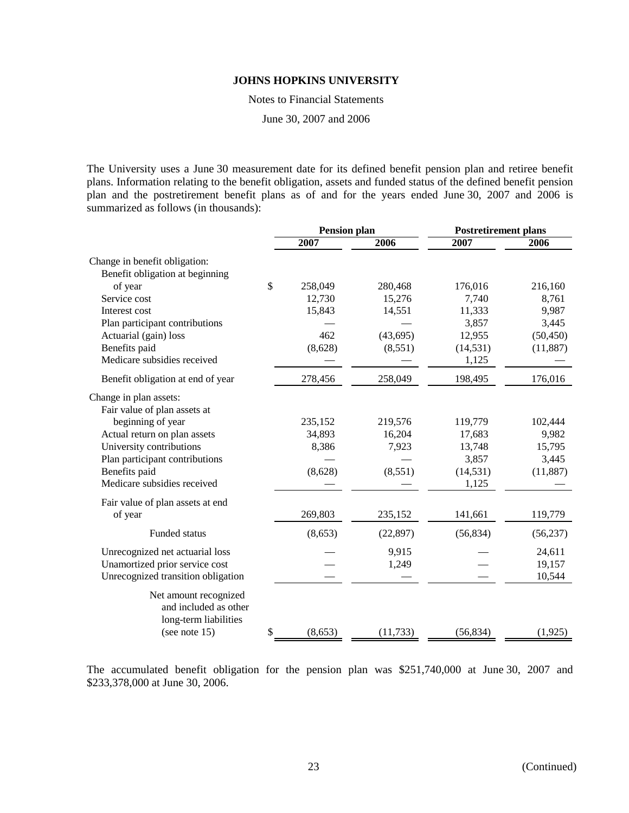Notes to Financial Statements

June 30, 2007 and 2006

The University uses a June 30 measurement date for its defined benefit pension plan and retiree benefit plans. Information relating to the benefit obligation, assets and funded status of the defined benefit pension plan and the postretirement benefit plans as of and for the years ended June 30, 2007 and 2006 is summarized as follows (in thousands):

|                                    | <b>Pension plan</b> |           | <b>Postretirement plans</b> |           |
|------------------------------------|---------------------|-----------|-----------------------------|-----------|
|                                    | 2007                | 2006      | 2007                        | 2006      |
| Change in benefit obligation:      |                     |           |                             |           |
| Benefit obligation at beginning    |                     |           |                             |           |
| of year                            | \$<br>258,049       | 280,468   | 176,016                     | 216,160   |
| Service cost                       | 12,730              | 15,276    | 7,740                       | 8,761     |
| Interest cost                      | 15,843              | 14,551    | 11,333                      | 9,987     |
| Plan participant contributions     |                     |           | 3,857                       | 3,445     |
| Actuarial (gain) loss              | 462                 | (43, 695) | 12,955                      | (50, 450) |
| Benefits paid                      | (8,628)             | (8,551)   | (14, 531)                   | (11, 887) |
| Medicare subsidies received        |                     |           | 1,125                       |           |
| Benefit obligation at end of year  | 278,456             | 258,049   | 198,495                     | 176,016   |
| Change in plan assets:             |                     |           |                             |           |
| Fair value of plan assets at       |                     |           |                             |           |
| beginning of year                  | 235,152             | 219,576   | 119,779                     | 102,444   |
| Actual return on plan assets       | 34,893              | 16,204    | 17,683                      | 9,982     |
| University contributions           | 8,386               | 7,923     | 13,748                      | 15,795    |
| Plan participant contributions     |                     |           | 3,857                       | 3,445     |
| Benefits paid                      | (8,628)             | (8,551)   | (14, 531)                   | (11, 887) |
| Medicare subsidies received        |                     |           | 1,125                       |           |
| Fair value of plan assets at end   |                     |           |                             |           |
| of year                            | 269,803             | 235,152   | 141,661                     | 119,779   |
| Funded status                      | (8,653)             | (22, 897) | (56, 834)                   | (56, 237) |
| Unrecognized net actuarial loss    |                     | 9,915     |                             | 24,611    |
| Unamortized prior service cost     |                     | 1,249     |                             | 19,157    |
| Unrecognized transition obligation |                     |           |                             | 10,544    |
| Net amount recognized              |                     |           |                             |           |
| and included as other              |                     |           |                             |           |
| long-term liabilities              |                     |           |                             |           |
| (see note $15$ )                   | \$<br>(8,653)       | (11, 733) | (56, 834)                   | (1, 925)  |

The accumulated benefit obligation for the pension plan was \$251,740,000 at June 30, 2007 and \$233,378,000 at June 30, 2006.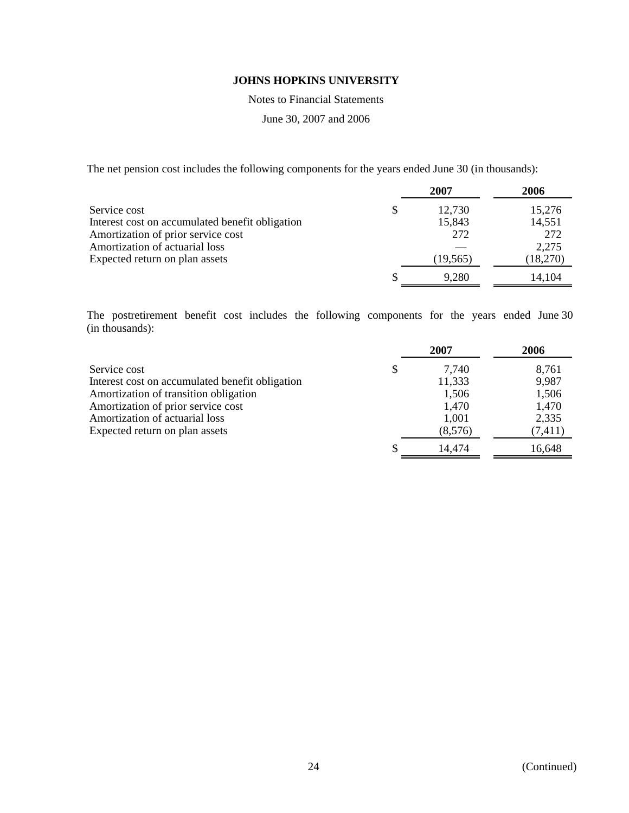Notes to Financial Statements

June 30, 2007 and 2006

The net pension cost includes the following components for the years ended June 30 (in thousands):

|                                                 |   | 2007      | 2006     |
|-------------------------------------------------|---|-----------|----------|
| Service cost                                    | S | 12,730    | 15,276   |
| Interest cost on accumulated benefit obligation |   | 15,843    | 14,551   |
| Amortization of prior service cost              |   | 272       | 272      |
| Amortization of actuarial loss                  |   |           | 2,275    |
| Expected return on plan assets                  |   | (19, 565) | (18,270) |
|                                                 |   | 9,280     | 14,104   |

The postretirement benefit cost includes the following components for the years ended June 30 (in thousands):

|                                                 | 2007        | 2006     |
|-------------------------------------------------|-------------|----------|
| Service cost                                    | \$<br>7,740 | 8,761    |
| Interest cost on accumulated benefit obligation | 11,333      | 9,987    |
| Amortization of transition obligation           | 1,506       | 1,506    |
| Amortization of prior service cost              | 1,470       | 1,470    |
| Amortization of actuarial loss                  | 1,001       | 2,335    |
| Expected return on plan assets                  | (8,576)     | (7, 411) |
|                                                 | 14,474      | 16,648   |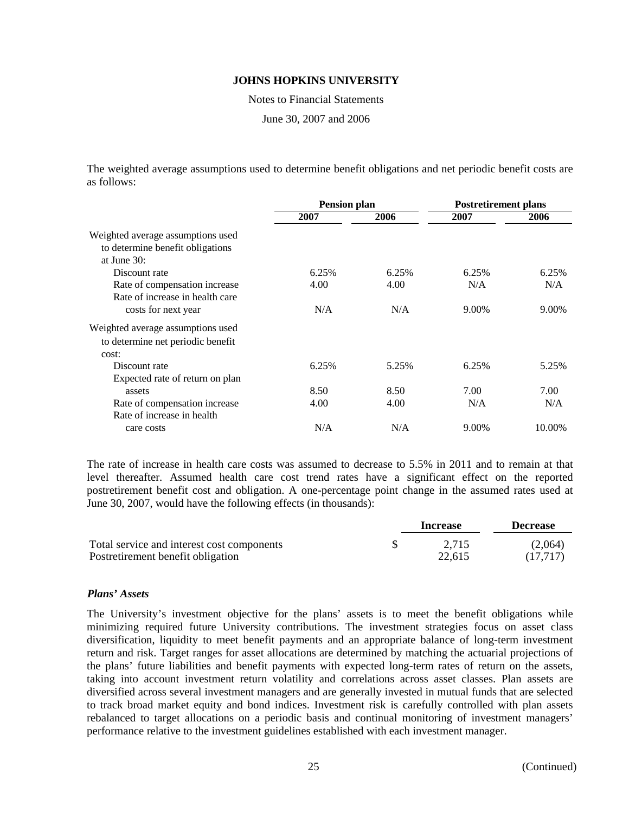Notes to Financial Statements

June 30, 2007 and 2006

The weighted average assumptions used to determine benefit obligations and net periodic benefit costs are as follows:

|                                                                                         | <b>Pension plan</b> |       | <b>Postretirement plans</b> |        |
|-----------------------------------------------------------------------------------------|---------------------|-------|-----------------------------|--------|
|                                                                                         | 2007                | 2006  | 2007                        | 2006   |
| Weighted average assumptions used<br>to determine benefit obligations<br>at June $30$ : |                     |       |                             |        |
| Discount rate                                                                           | 6.25%               | 6.25% | 6.25%                       | 6.25%  |
| Rate of compensation increase<br>Rate of increase in health care                        | 4.00                | 4.00  | N/A                         | N/A    |
| costs for next year                                                                     | N/A                 | N/A   | 9.00%                       | 9.00%  |
| Weighted average assumptions used<br>to determine net periodic benefit<br>cost:         |                     |       |                             |        |
| Discount rate<br>Expected rate of return on plan                                        | 6.25%               | 5.25% | 6.25%                       | 5.25%  |
| assets                                                                                  | 8.50                | 8.50  | 7.00                        | 7.00   |
| Rate of compensation increase<br>Rate of increase in health                             | 4.00                | 4.00  | N/A                         | N/A    |
| care costs                                                                              | N/A                 | N/A   | 9.00%                       | 10.00% |

The rate of increase in health care costs was assumed to decrease to 5.5% in 2011 and to remain at that level thereafter. Assumed health care cost trend rates have a significant effect on the reported postretirement benefit cost and obligation. A one-percentage point change in the assumed rates used at June 30, 2007, would have the following effects (in thousands):

|                                            | Increase | <b>Decrease</b> |
|--------------------------------------------|----------|-----------------|
| Total service and interest cost components | 2.715    | (2.064)         |
| Postretirement benefit obligation          | 22.615   | (17.717)        |

### *Plans' Assets*

The University's investment objective for the plans' assets is to meet the benefit obligations while minimizing required future University contributions. The investment strategies focus on asset class diversification, liquidity to meet benefit payments and an appropriate balance of long-term investment return and risk. Target ranges for asset allocations are determined by matching the actuarial projections of the plans' future liabilities and benefit payments with expected long-term rates of return on the assets, taking into account investment return volatility and correlations across asset classes. Plan assets are diversified across several investment managers and are generally invested in mutual funds that are selected to track broad market equity and bond indices. Investment risk is carefully controlled with plan assets rebalanced to target allocations on a periodic basis and continual monitoring of investment managers' performance relative to the investment guidelines established with each investment manager.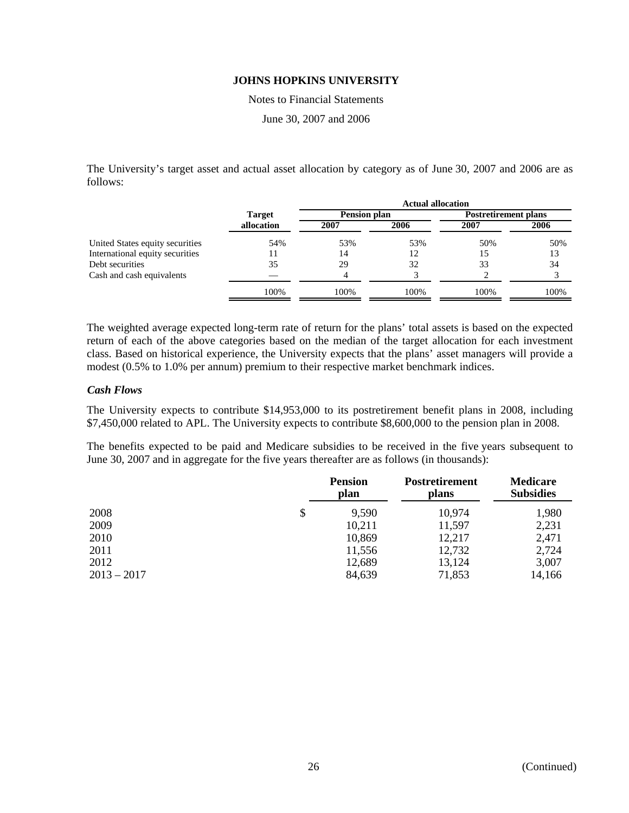Notes to Financial Statements

June 30, 2007 and 2006

The University's target asset and actual asset allocation by category as of June 30, 2007 and 2006 are as follows:

|                                 |               | <b>Actual allocation</b> |      |                             |      |  |
|---------------------------------|---------------|--------------------------|------|-----------------------------|------|--|
|                                 | <b>Target</b> | <b>Pension plan</b>      |      | <b>Postretirement plans</b> |      |  |
|                                 | allocation    | 2007                     | 2006 | 2007                        | 2006 |  |
| United States equity securities | 54%           | 53%                      | 53%  | 50%                         | 50%  |  |
| International equity securities |               | 14                       | 12   | 15                          | 13   |  |
| Debt securities                 | 35            | 29                       | 32   | 33                          | 34   |  |
| Cash and cash equivalents       |               |                          |      |                             |      |  |
|                                 | 100%          | 100%                     | 100% | 100%                        | 100% |  |

The weighted average expected long-term rate of return for the plans' total assets is based on the expected return of each of the above categories based on the median of the target allocation for each investment class. Based on historical experience, the University expects that the plans' asset managers will provide a modest (0.5% to 1.0% per annum) premium to their respective market benchmark indices.

# *Cash Flows*

The University expects to contribute \$14,953,000 to its postretirement benefit plans in 2008, including \$7,450,000 related to APL. The University expects to contribute \$8,600,000 to the pension plan in 2008.

The benefits expected to be paid and Medicare subsidies to be received in the five years subsequent to June 30, 2007 and in aggregate for the five years thereafter are as follows (in thousands):

|               | <b>Pension</b><br>plan | <b>Postretirement</b><br>plans | <b>Medicare</b><br><b>Subsidies</b> |
|---------------|------------------------|--------------------------------|-------------------------------------|
| 2008          | 9,590                  | 10,974                         | 1,980                               |
| 2009          | 10,211                 | 11,597                         | 2,231                               |
| 2010          | 10,869                 | 12,217                         | 2,471                               |
| 2011          | 11,556                 | 12,732                         | 2,724                               |
| 2012          | 12,689                 | 13,124                         | 3,007                               |
| $2013 - 2017$ | 84,639                 | 71,853                         | 14,166                              |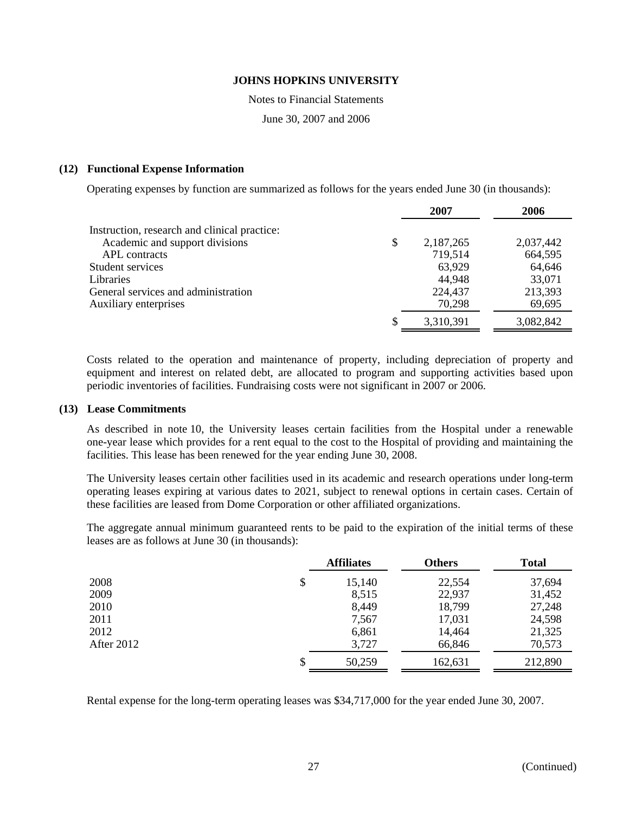Notes to Financial Statements

June 30, 2007 and 2006

### **(12) Functional Expense Information**

Operating expenses by function are summarized as follows for the years ended June 30 (in thousands):

|                                              | 2007            | 2006      |
|----------------------------------------------|-----------------|-----------|
| Instruction, research and clinical practice: |                 |           |
| Academic and support divisions               | \$<br>2,187,265 | 2,037,442 |
| <b>APL</b> contracts                         | 719,514         | 664,595   |
| Student services                             | 63,929          | 64,646    |
| Libraries                                    | 44,948          | 33,071    |
| General services and administration          | 224,437         | 213,393   |
| Auxiliary enterprises                        | 70,298          | 69,695    |
|                                              | 3,310,391       | 3,082,842 |

Costs related to the operation and maintenance of property, including depreciation of property and equipment and interest on related debt, are allocated to program and supporting activities based upon periodic inventories of facilities. Fundraising costs were not significant in 2007 or 2006.

### **(13) Lease Commitments**

As described in note 10, the University leases certain facilities from the Hospital under a renewable one-year lease which provides for a rent equal to the cost to the Hospital of providing and maintaining the facilities. This lease has been renewed for the year ending June 30, 2008.

The University leases certain other facilities used in its academic and research operations under long-term operating leases expiring at various dates to 2021, subject to renewal options in certain cases. Certain of these facilities are leased from Dome Corporation or other affiliated organizations.

The aggregate annual minimum guaranteed rents to be paid to the expiration of the initial terms of these leases are as follows at June 30 (in thousands):

|            | <b>Affiliates</b> | <b>Others</b> | <b>Total</b> |
|------------|-------------------|---------------|--------------|
| 2008       | \$<br>15,140      | 22,554        | 37,694       |
| 2009       | 8,515             | 22,937        | 31,452       |
| 2010       | 8,449             | 18,799        | 27,248       |
| 2011       | 7,567             | 17,031        | 24,598       |
| 2012       | 6,861             | 14,464        | 21,325       |
| After 2012 | 3,727             | 66,846        | 70,573       |
|            | \$<br>50,259      | 162,631       | 212,890      |

Rental expense for the long-term operating leases was \$34,717,000 for the year ended June 30, 2007.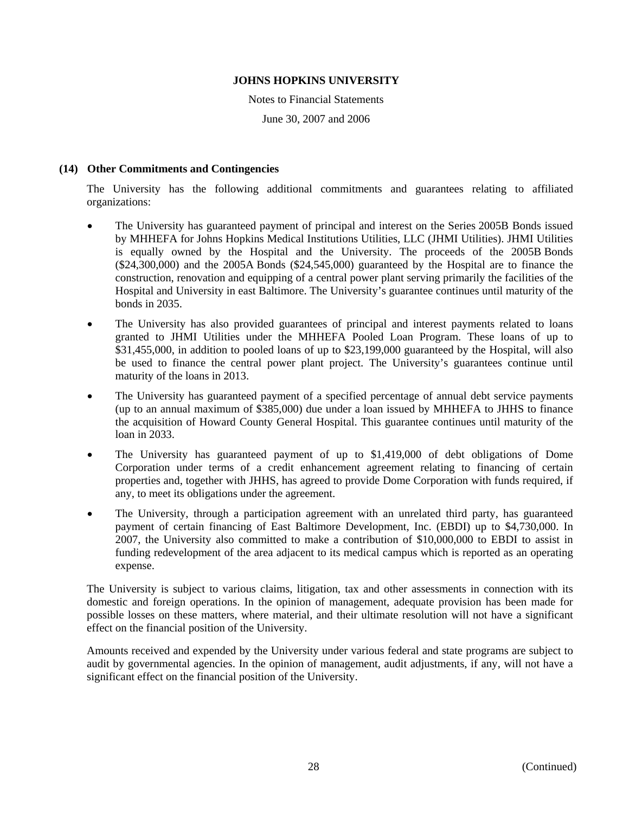Notes to Financial Statements

June 30, 2007 and 2006

# **(14) Other Commitments and Contingencies**

The University has the following additional commitments and guarantees relating to affiliated organizations:

- The University has guaranteed payment of principal and interest on the Series 2005B Bonds issued by MHHEFA for Johns Hopkins Medical Institutions Utilities, LLC (JHMI Utilities). JHMI Utilities is equally owned by the Hospital and the University. The proceeds of the 2005B Bonds (\$24,300,000) and the 2005A Bonds (\$24,545,000) guaranteed by the Hospital are to finance the construction, renovation and equipping of a central power plant serving primarily the facilities of the Hospital and University in east Baltimore. The University's guarantee continues until maturity of the bonds in 2035.
- The University has also provided guarantees of principal and interest payments related to loans granted to JHMI Utilities under the MHHEFA Pooled Loan Program. These loans of up to \$31,455,000, in addition to pooled loans of up to \$23,199,000 guaranteed by the Hospital, will also be used to finance the central power plant project. The University's guarantees continue until maturity of the loans in 2013.
- The University has guaranteed payment of a specified percentage of annual debt service payments (up to an annual maximum of \$385,000) due under a loan issued by MHHEFA to JHHS to finance the acquisition of Howard County General Hospital. This guarantee continues until maturity of the loan in 2033.
- The University has guaranteed payment of up to \$1,419,000 of debt obligations of Dome Corporation under terms of a credit enhancement agreement relating to financing of certain properties and, together with JHHS, has agreed to provide Dome Corporation with funds required, if any, to meet its obligations under the agreement.
- The University, through a participation agreement with an unrelated third party, has guaranteed payment of certain financing of East Baltimore Development, Inc. (EBDI) up to \$4,730,000. In 2007, the University also committed to make a contribution of \$10,000,000 to EBDI to assist in funding redevelopment of the area adjacent to its medical campus which is reported as an operating expense.

The University is subject to various claims, litigation, tax and other assessments in connection with its domestic and foreign operations. In the opinion of management, adequate provision has been made for possible losses on these matters, where material, and their ultimate resolution will not have a significant effect on the financial position of the University.

Amounts received and expended by the University under various federal and state programs are subject to audit by governmental agencies. In the opinion of management, audit adjustments, if any, will not have a significant effect on the financial position of the University.